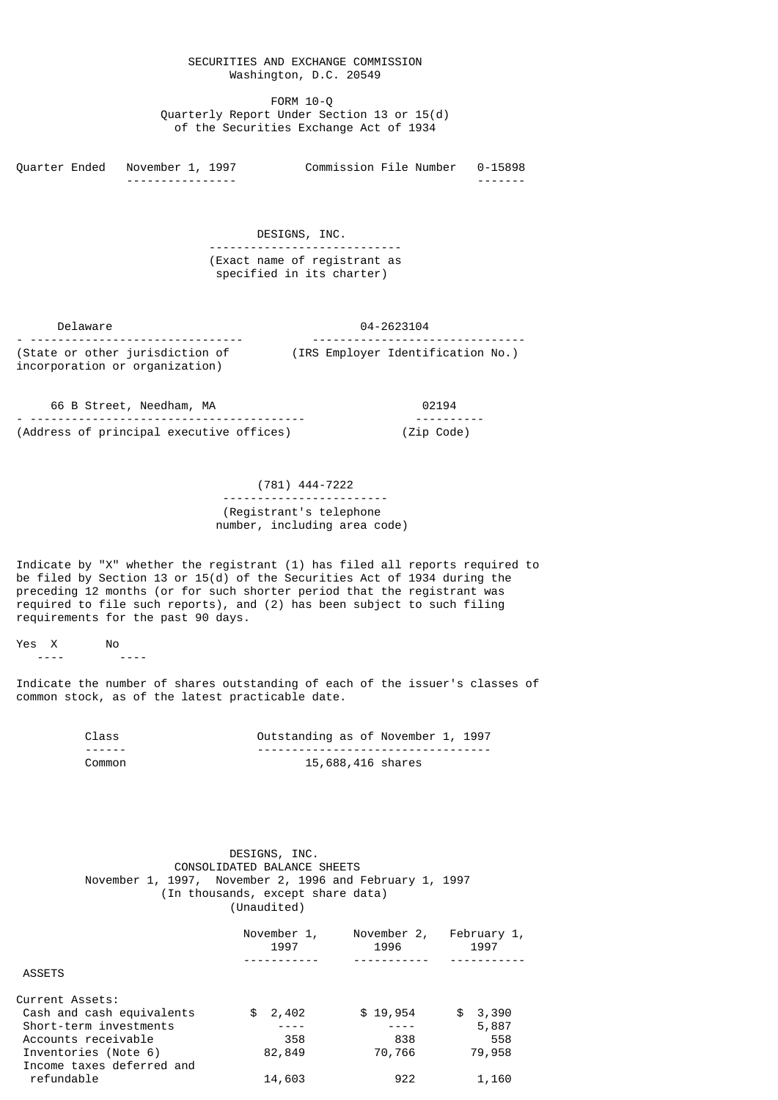## SECURITIES AND EXCHANGE COMMISSION Washington, D.C. 20549

 FORM 10-Q Quarterly Report Under Section 13 or 15(d) of the Securities Exchange Act of 1934

Quarter Ended November 1, 1997 Commission File Number 0-15898 ---------------- -------

> DESIGNS, INC. ---------------------------- (Exact name of registrant as specified in its charter)

 Delaware 04-2623104 - ------------------------------- ------------------------------- (State or other jurisdiction of (IRS Employer Identification No.) incorporation or organization)

 66 B Street, Needham, MA 02194 - ---------------------------------------- ---------- (Address of principal executive offices) (Zip Code)

> (781) 444-7222 ------------------------ (Registrant's telephone number, including area code)

Indicate by "X" whether the registrant (1) has filed all reports required to be filed by Section 13 or 15(d) of the Securities Act of 1934 during the preceding 12 months (or for such shorter period that the registrant was required to file such reports), and (2) has been subject to such filing requirements for the past 90 days.

Yes X No ---- ----

Indicate the number of shares outstanding of each of the issuer's classes of common stock, as of the latest practicable date.

| Class  | Outstanding as of November 1, 1997 |
|--------|------------------------------------|
| ------ |                                    |
| Common | 15,688,416 shares                  |

# DESIGNS, INC. CONSOLIDATED BALANCE SHEETS November 1, 1997, November 2, 1996 and February 1, 1997 (In thousands, except share data) (Unaudited)

|                           | November 1,<br>1997 | November 2,<br>1996 | February 1,<br>1997 |  |
|---------------------------|---------------------|---------------------|---------------------|--|
| <b>ASSETS</b>             |                     |                     |                     |  |
|                           |                     |                     |                     |  |
| Current Assets:           |                     |                     |                     |  |
| Cash and cash equivalents | 2,402<br>\$         | \$19,954            | 3,390<br>\$         |  |
| Short-term investments    |                     |                     | 5,887               |  |
| Accounts receivable       | 358                 | 838                 | 558                 |  |
| Inventories (Note 6)      | 82,849              | 70,766              | 79,958              |  |
| Income taxes deferred and |                     |                     |                     |  |
| refundable                | 14,603              | 922                 | 1,160               |  |
|                           |                     |                     |                     |  |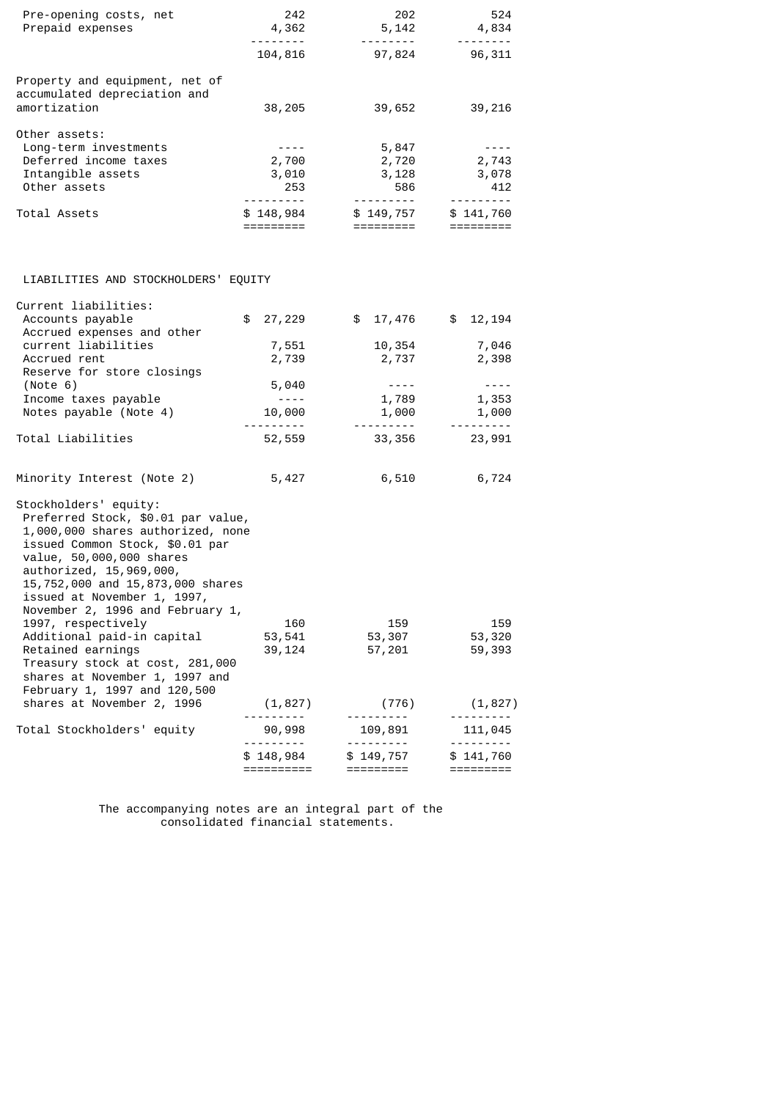| Pre-opening costs, net<br>Prepaid expenses                                                                                                                                                                                                                                                        | 242                                  | 202<br>4,362<br>5, 142<br><u> - - - - - - - - -</u><br>. <b>.</b> . |                                                                                                                                                                                                                                                                                                                                                                                                                                                                                                  |  |
|---------------------------------------------------------------------------------------------------------------------------------------------------------------------------------------------------------------------------------------------------------------------------------------------------|--------------------------------------|---------------------------------------------------------------------|--------------------------------------------------------------------------------------------------------------------------------------------------------------------------------------------------------------------------------------------------------------------------------------------------------------------------------------------------------------------------------------------------------------------------------------------------------------------------------------------------|--|
|                                                                                                                                                                                                                                                                                                   | 104,816                              | 97,824                                                              | $\begin{array}{cccccccccccccc} \multicolumn{2}{c}{} & \multicolumn{2}{c}{} & \multicolumn{2}{c}{} & \multicolumn{2}{c}{} & \multicolumn{2}{c}{} & \multicolumn{2}{c}{} & \multicolumn{2}{c}{} & \multicolumn{2}{c}{} & \multicolumn{2}{c}{} & \multicolumn{2}{c}{} & \multicolumn{2}{c}{} & \multicolumn{2}{c}{} & \multicolumn{2}{c}{} & \multicolumn{2}{c}{} & \multicolumn{2}{c}{} & \multicolumn{2}{c}{} & \multicolumn{2}{c}{} & \multicolumn{2}{c}{} & \multicolumn{2}{c}{} & \$<br>96,311 |  |
| Property and equipment, net of<br>accumulated depreciation and<br>amortization                                                                                                                                                                                                                    | 38,205                               | 39,652                                                              | 39,216                                                                                                                                                                                                                                                                                                                                                                                                                                                                                           |  |
| Other assets:<br>Long-term investments<br>Deferred income taxes<br>Intangible assets<br>Other assets                                                                                                                                                                                              | $- - - - -$<br>2,700<br>3,010<br>253 | 5,847<br>2,720<br>3,128<br>586                                      | $- - - -$<br>2,743<br>3,078<br>412                                                                                                                                                                                                                                                                                                                                                                                                                                                               |  |
| Total Assets                                                                                                                                                                                                                                                                                      | ----------<br>\$148,984<br>========= | ---------- <b>-</b><br>\$149,757<br>=========                       | \$141,760<br>$=$ $=$ $=$ $=$ $=$ $=$ $=$ $=$ $=$                                                                                                                                                                                                                                                                                                                                                                                                                                                 |  |
| LIABILITIES AND STOCKHOLDERS' EQUITY                                                                                                                                                                                                                                                              |                                      |                                                                     |                                                                                                                                                                                                                                                                                                                                                                                                                                                                                                  |  |
| Current liabilities:<br>Accounts payable<br>Accrued expenses and other                                                                                                                                                                                                                            | \$27,229                             | \$17,476                                                            | \$12,194                                                                                                                                                                                                                                                                                                                                                                                                                                                                                         |  |
| current liabilities<br>Accrued rent<br>Reserve for store closings                                                                                                                                                                                                                                 | 7,551<br>2,739                       | 10,354<br>2,737                                                     | 7,046<br>2,398                                                                                                                                                                                                                                                                                                                                                                                                                                                                                   |  |
| (Note 6)<br>Income taxes payable<br>Notes payable (Note 4)                                                                                                                                                                                                                                        | 5,040<br>$\frac{1}{2}$<br>10,000     | $\sim$ $   -$<br>1,789<br>1,000                                     | $\sim$ $ \sim$ $-$<br>1,353<br>1,000                                                                                                                                                                                                                                                                                                                                                                                                                                                             |  |
| Total Liabilities                                                                                                                                                                                                                                                                                 | 52,559                               | ---------- <b>-</b><br>33,356                                       | <u> - - - - - - - -</u><br>23,991                                                                                                                                                                                                                                                                                                                                                                                                                                                                |  |
| Minority Interest (Note 2)                                                                                                                                                                                                                                                                        | 5,427                                | 6,510                                                               | 6,724                                                                                                                                                                                                                                                                                                                                                                                                                                                                                            |  |
| Stockholders' equity:<br>Preferred Stock, \$0.01 par value,<br>1,000,000 shares authorized, none<br>issued Common Stock, \$0.01 par<br>value, 50,000,000 shares<br>authorized, 15,969,000,<br>15,752,000 and 15,873,000 shares<br>issued at November 1, 1997,<br>November 2, 1996 and February 1, |                                      |                                                                     |                                                                                                                                                                                                                                                                                                                                                                                                                                                                                                  |  |
| 1997, respectively<br>Additional paid-in capital<br>Retained earnings<br>Treasury stock at cost, 281,000<br>shares at November 1, 1997 and                                                                                                                                                        | 160<br>53,541<br>39,124              | 159<br>53,307<br>57,201                                             | 159<br>53,320<br>59,393                                                                                                                                                                                                                                                                                                                                                                                                                                                                          |  |
| February 1, 1997 and 120,500<br>shares at November 2, 1996                                                                                                                                                                                                                                        | (1, 827)                             | (776)                                                               | (1, 827)                                                                                                                                                                                                                                                                                                                                                                                                                                                                                         |  |
| Total Stockholders' equity                                                                                                                                                                                                                                                                        | 90,998                               | 109,891                                                             | 111,045                                                                                                                                                                                                                                                                                                                                                                                                                                                                                          |  |
|                                                                                                                                                                                                                                                                                                   | \$148,984<br>==========              | \$149,757<br>=========                                              | \$141,760<br>=========                                                                                                                                                                                                                                                                                                                                                                                                                                                                           |  |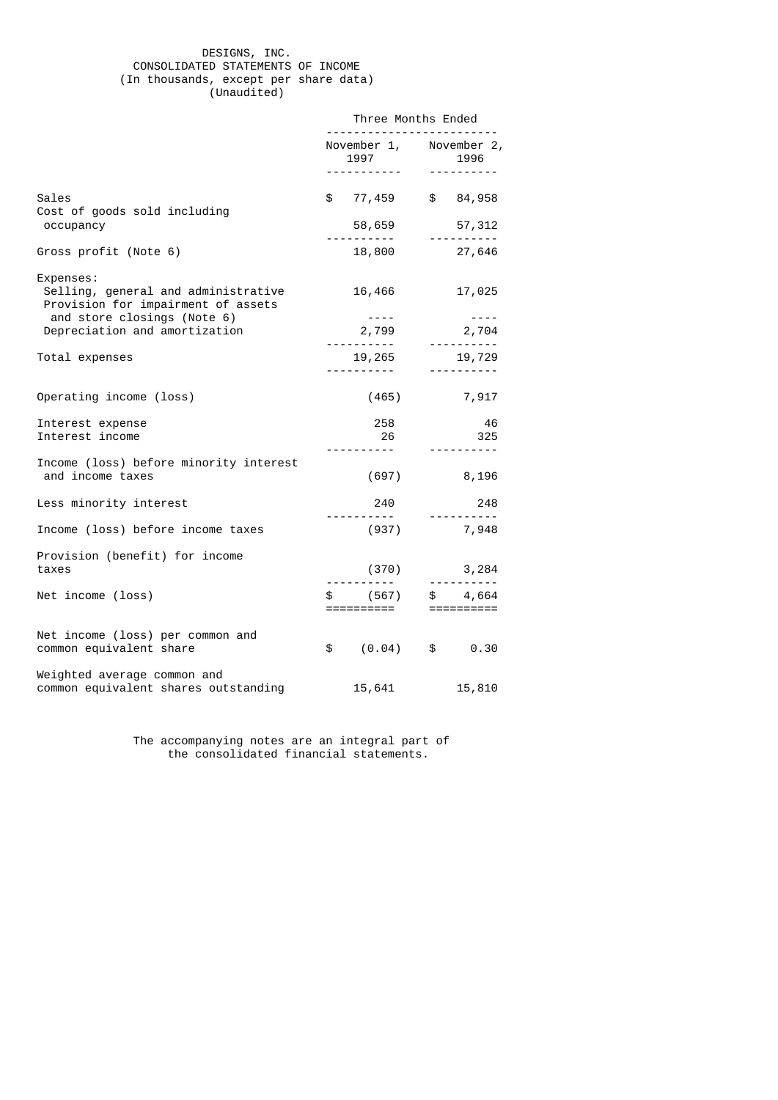## DESIGNS, INC. CONSOLIDATED STATEMENTS OF INCOME (In thousands, except per share data) (Unaudited)

|                                                                                        | Three Months Ended                                                                                                                 |                                 |  |  |
|----------------------------------------------------------------------------------------|------------------------------------------------------------------------------------------------------------------------------------|---------------------------------|--|--|
|                                                                                        | 1997                                                                                                                               | November 1, November 2,<br>1996 |  |  |
|                                                                                        |                                                                                                                                    | <u>.</u>                        |  |  |
| Sales<br>Cost of goods sold including                                                  | \$ 77,459 \$ 84,958                                                                                                                |                                 |  |  |
| occupancy                                                                              | 58,659                                                                                                                             | 57,312                          |  |  |
| Gross profit (Note 6)                                                                  | <u>.</u>                                                                                                                           | ----------<br>18,800 27,646     |  |  |
| Expenses:<br>Selling, general and administrative<br>Provision for impairment of assets | 16,466                                                                                                                             | 17,025                          |  |  |
| and store closings (Note 6)<br>Depreciation and amortization                           | $\frac{1}{2} \left( \frac{1}{2} \right) \left( \frac{1}{2} \right) \left( \frac{1}{2} \right) \left( \frac{1}{2} \right)$<br>2,799 | $- - - -$                       |  |  |
| Total expenses                                                                         | <u>.</u>                                                                                                                           | 19, 265 19, 729                 |  |  |
| Operating income (loss)                                                                | (465)                                                                                                                              | 7,917                           |  |  |
| Interest expense<br>Interest income                                                    | 258<br>26<br>-----------                                                                                                           | 46<br>325<br>----------         |  |  |
| Income (loss) before minority interest<br>and income taxes                             | (697)                                                                                                                              | 8,196                           |  |  |
| Less minority interest                                                                 | 240<br>-----------                                                                                                                 | 248<br>___________              |  |  |
| Income (loss) before income taxes                                                      | (937)                                                                                                                              | 7,948                           |  |  |
| Provision (benefit) for income<br>taxes                                                | (370)                                                                                                                              | 3,284                           |  |  |
| Net income (loss)                                                                      | ==========           ==========                                                                                                    |                                 |  |  |
| Net income (loss) per common and<br>common equivalent share                            | $(0.04)$ \$<br>$\mathbb S$                                                                                                         | 0.30                            |  |  |
| Weighted average common and<br>common equivalent shares outstanding                    | 15,641                                                                                                                             | 15,810                          |  |  |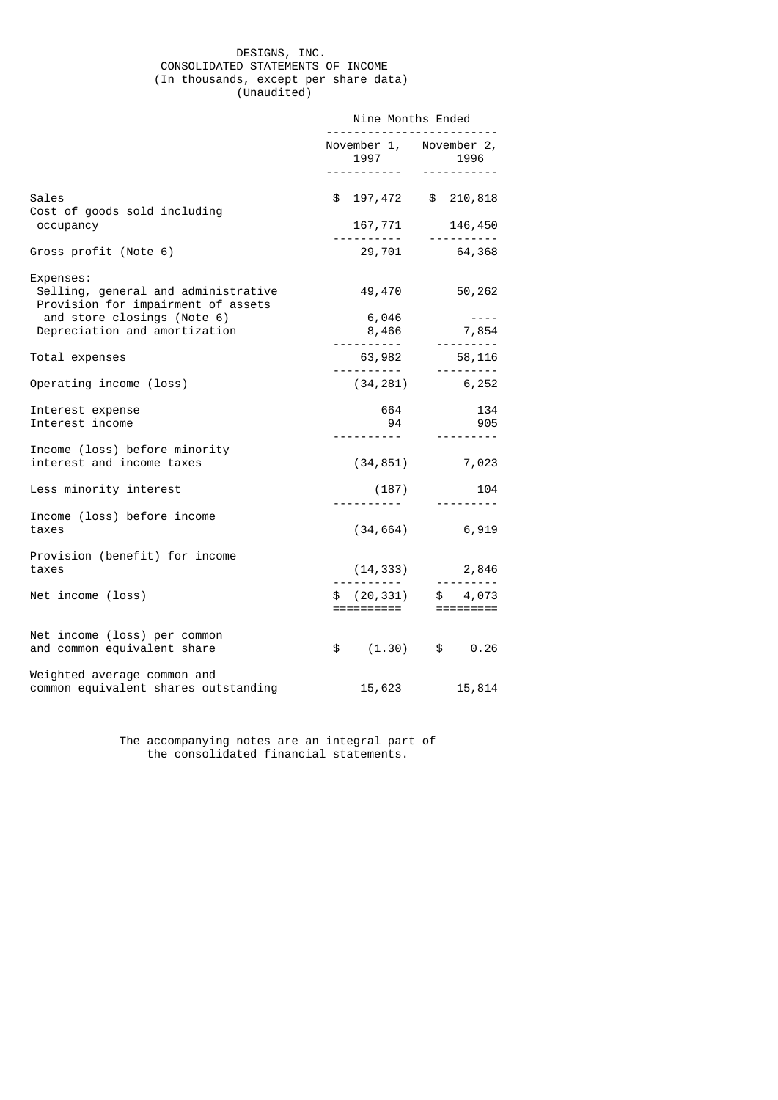## DESIGNS, INC. CONSOLIDATED STATEMENTS OF INCOME (In thousands, except per share data) (Unaudited)

|                                                                                        | Nine Months Ended              |                                                         |  |
|----------------------------------------------------------------------------------------|--------------------------------|---------------------------------------------------------|--|
|                                                                                        | November 1, November 2,        |                                                         |  |
| Sales<br>Cost of goods sold including                                                  |                                | \$197,472 \$210,818                                     |  |
| occupancy                                                                              |                                | $167, 771$ $146, 450$<br>146,450                        |  |
| Gross profit (Note 6)                                                                  |                                | 29,701 64,368                                           |  |
| Expenses:<br>Selling, general and administrative<br>Provision for impairment of assets | 49,470                         | 50,262<br>$\sim$ $\sim$ $\sim$ $\sim$                   |  |
| and store closings (Note 6)<br>Depreciation and amortization                           | 6,046                          |                                                         |  |
|                                                                                        |                                | $8,466$ 7,854                                           |  |
| Total expenses                                                                         | $63,982$<br>----------         | 58,116<br>. <u>.</u>                                    |  |
| Operating income (loss)                                                                |                                | $(34, 281)$ 6, 252                                      |  |
| Interest expense<br>Interest income                                                    | 664<br>94                      | 134<br>905                                              |  |
| Income (loss) before minority<br>interest and income taxes                             |                                | $(34, 851)$ 7,023                                       |  |
| Less minority interest                                                                 | ( 187 )<br>- - - - - - - - - - | 104<br>.                                                |  |
| Income (loss) before income<br>taxes                                                   |                                | $(34, 664)$ 6,919                                       |  |
| Provision (benefit) for income<br>taxes                                                |                                | $(14, 333)$ 2,846                                       |  |
| Net income (loss)                                                                      |                                | \$ (20, 331) \$ 4,073<br>==========           ========= |  |
| Net income (loss) per common<br>and common equivalent share                            | $\frac{1}{2}$                  | $(1.30)$ \$ 0.26                                        |  |
| Weighted average common and<br>common equivalent shares outstanding                    | 15,623                         | 15,814                                                  |  |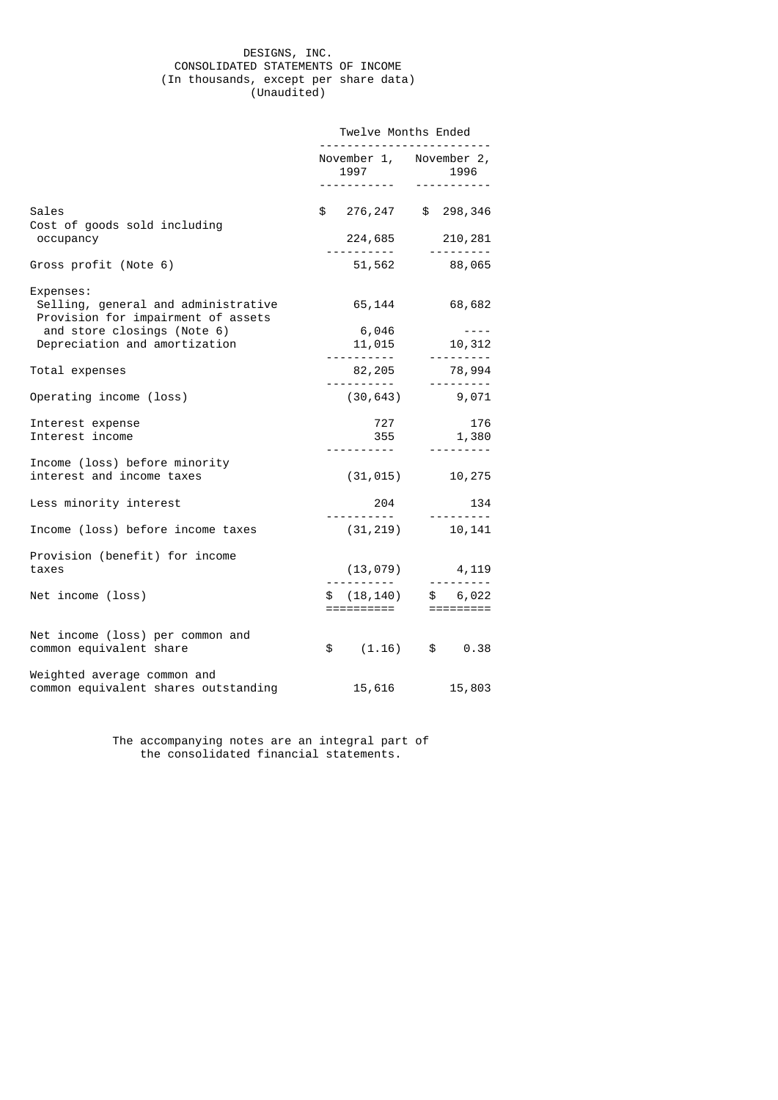## DESIGNS, INC. CONSOLIDATED STATEMENTS OF INCOME (In thousands, except per share data) (Unaudited)

|                                                                                        | Twelve Months Ended                       |                                                          |  |  |
|----------------------------------------------------------------------------------------|-------------------------------------------|----------------------------------------------------------|--|--|
|                                                                                        | November 1, November 2,<br>1997           | 1996                                                     |  |  |
|                                                                                        |                                           | -----------                                              |  |  |
| Sales<br>Cost of goods sold including                                                  | \$ 276,247 \$ 298,346                     |                                                          |  |  |
| occupancy                                                                              |                                           | 224,685 210,281<br><u> - - - - - - - -</u>               |  |  |
| Gross profit (Note 6)                                                                  |                                           | 51,562 88,065                                            |  |  |
| Expenses:<br>Selling, general and administrative<br>Provision for impairment of assets | 65,144                                    | 68,682                                                   |  |  |
| and store closings (Note 6)<br>Depreciation and amortization                           | 6,046<br>11,015                           | $- - - -$<br>10,312                                      |  |  |
|                                                                                        |                                           | ___________                                              |  |  |
| Total expenses                                                                         | 82,205<br><u> - - - - - - - - - - - -</u> | 78,994<br>---------                                      |  |  |
| Operating income (loss)                                                                |                                           | $(30, 643)$ 9,071                                        |  |  |
| Interest expense<br>Interest income                                                    | 727<br>355                                | 176<br>1,380<br>__________                               |  |  |
| Income (loss) before minority<br>interest and income taxes                             |                                           | $(31, 015)$ 10, 275                                      |  |  |
| Less minority interest                                                                 | 204                                       | 134                                                      |  |  |
| Income (loss) before income taxes                                                      | (31, 219)                                 | 10,141                                                   |  |  |
| Provision (benefit) for income<br>taxes                                                | (13, 079)                                 | 4,119                                                    |  |  |
|                                                                                        |                                           | .                                                        |  |  |
| Net income (loss)                                                                      |                                           | $$(18, 140)$ \$ 6,022<br>==========            ========= |  |  |
| Net income (loss) per common and<br>common equivalent share                            |                                           | \$  (1.16) \$ 0.38                                       |  |  |
| Weighted average common and<br>common equivalent shares outstanding                    | 15,616                                    | 15,803                                                   |  |  |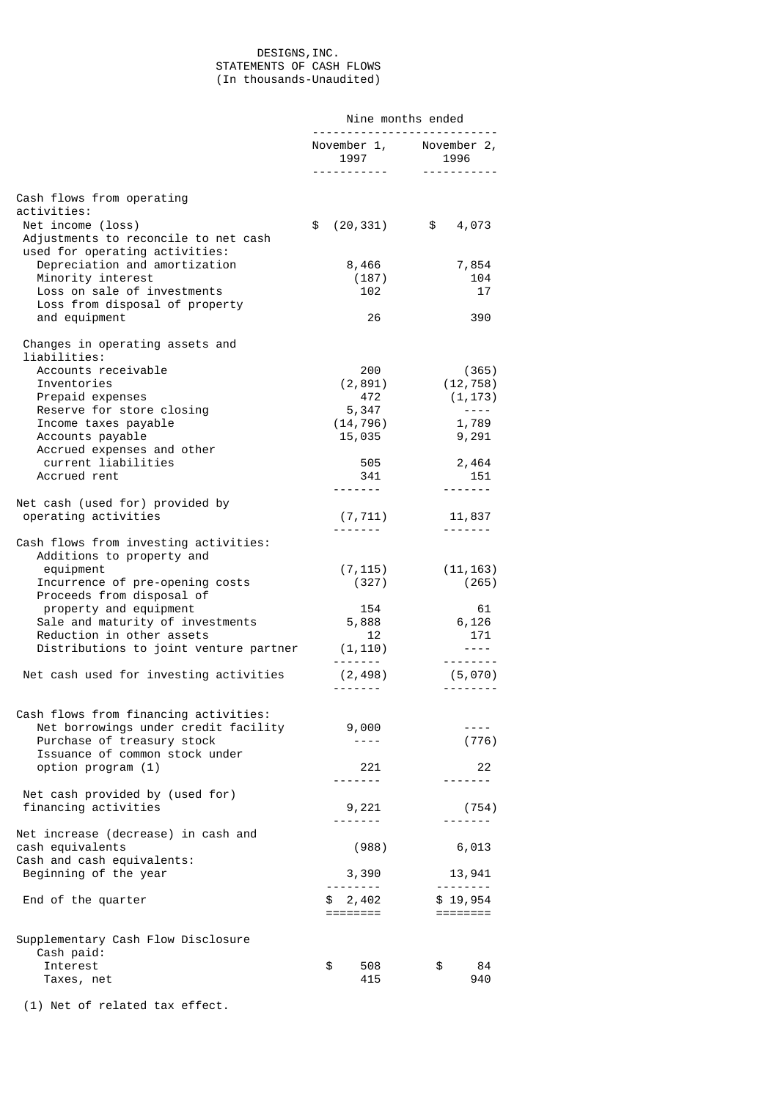# DESIGNS,INC. STATEMENTS OF CASH FLOWS (In thousands-Unaudited)

|                                                                                             | Nine months ended<br>.             |                                                                                       |  |
|---------------------------------------------------------------------------------------------|------------------------------------|---------------------------------------------------------------------------------------|--|
|                                                                                             | 1997<br><u>.</u>                   | November 1, November 2,<br>1996<br><u> - - - - - - - - - -</u>                        |  |
| Cash flows from operating                                                                   |                                    |                                                                                       |  |
| activities:                                                                                 |                                    |                                                                                       |  |
| Net income (loss)<br>Adjustments to reconcile to net cash<br>used for operating activities: | (20, 331)<br>\$                    | \$<br>4,073                                                                           |  |
| Depreciation and amortization                                                               | 8,466                              | 7,854                                                                                 |  |
| Minority interest                                                                           | (187)                              | 104                                                                                   |  |
| Loss on sale of investments                                                                 | 102                                | 17                                                                                    |  |
| Loss from disposal of property<br>and equipment                                             | 26                                 | 390                                                                                   |  |
| Changes in operating assets and<br>liabilities:                                             |                                    |                                                                                       |  |
| Accounts receivable                                                                         | 200                                | (365)                                                                                 |  |
| Inventories                                                                                 | (2, 891)                           | (12, 758)                                                                             |  |
| Prepaid expenses<br>Reserve for store closing                                               | 472<br>5,347                       | (1, 173)<br>$\sim$ $  -$                                                              |  |
| Income taxes payable                                                                        | (14, 796)                          | 1,789                                                                                 |  |
| Accounts payable                                                                            | 15,035                             | 9,291                                                                                 |  |
| Accrued expenses and other                                                                  |                                    |                                                                                       |  |
| current liabilities<br>Accrued rent                                                         | 505                                | 2,464                                                                                 |  |
|                                                                                             | 341<br>--------                    | 151<br>-------                                                                        |  |
| Net cash (used for) provided by                                                             |                                    |                                                                                       |  |
| operating activities                                                                        | (7, 711)                           | 11,837                                                                                |  |
|                                                                                             |                                    |                                                                                       |  |
| Cash flows from investing activities:<br>Additions to property and                          |                                    |                                                                                       |  |
| equipment                                                                                   | (7, 115)                           | (11, 163)                                                                             |  |
| Incurrence of pre-opening costs                                                             | (327)                              | (265)                                                                                 |  |
| Proceeds from disposal of                                                                   |                                    |                                                                                       |  |
| property and equipment<br>Sale and maturity of investments                                  | 154<br>5,888                       | 61<br>6,126                                                                           |  |
| Reduction in other assets                                                                   | 12                                 | 171                                                                                   |  |
| Distributions to joint venture partner                                                      | (1, 110)                           | $\frac{1}{2} \frac{1}{2} \frac{1}{2} \frac{1}{2} \frac{1}{2} \frac{1}{2} \frac{1}{2}$ |  |
|                                                                                             |                                    | --------                                                                              |  |
| Net cash used for investing activities                                                      | (2, 498)<br>--------               | (5,070)<br>---------                                                                  |  |
| Cash flows from financing activities:                                                       |                                    |                                                                                       |  |
| Net borrowings under credit facility                                                        | 9,000                              | $- - - -$                                                                             |  |
| Purchase of treasury stock                                                                  | ----                               | (776)                                                                                 |  |
| Issuance of common stock under<br>option program (1)                                        | 221                                | 22                                                                                    |  |
|                                                                                             |                                    | -------                                                                               |  |
| Net cash provided by (used for)                                                             |                                    |                                                                                       |  |
| financing activities                                                                        | 9,221                              | (754)                                                                                 |  |
| Net increase (decrease) in cash and                                                         | -------                            |                                                                                       |  |
| cash equivalents                                                                            | (988)                              | 6,013                                                                                 |  |
| Cash and cash equivalents:                                                                  |                                    |                                                                                       |  |
| Beginning of the year                                                                       | 3,390                              | 13,941                                                                                |  |
| End of the quarter                                                                          | <u> - - - - - - - -</u><br>\$2,402 | \$19,954                                                                              |  |
|                                                                                             | ========                           |                                                                                       |  |
| Supplementary Cash Flow Disclosure                                                          |                                    |                                                                                       |  |
| Cash paid:                                                                                  |                                    |                                                                                       |  |
| Interest                                                                                    | \$<br>508                          | \$<br>84                                                                              |  |
| Taxes, net                                                                                  | 415                                | 940                                                                                   |  |
| (1) Net of related tax effect.                                                              |                                    |                                                                                       |  |
|                                                                                             |                                    |                                                                                       |  |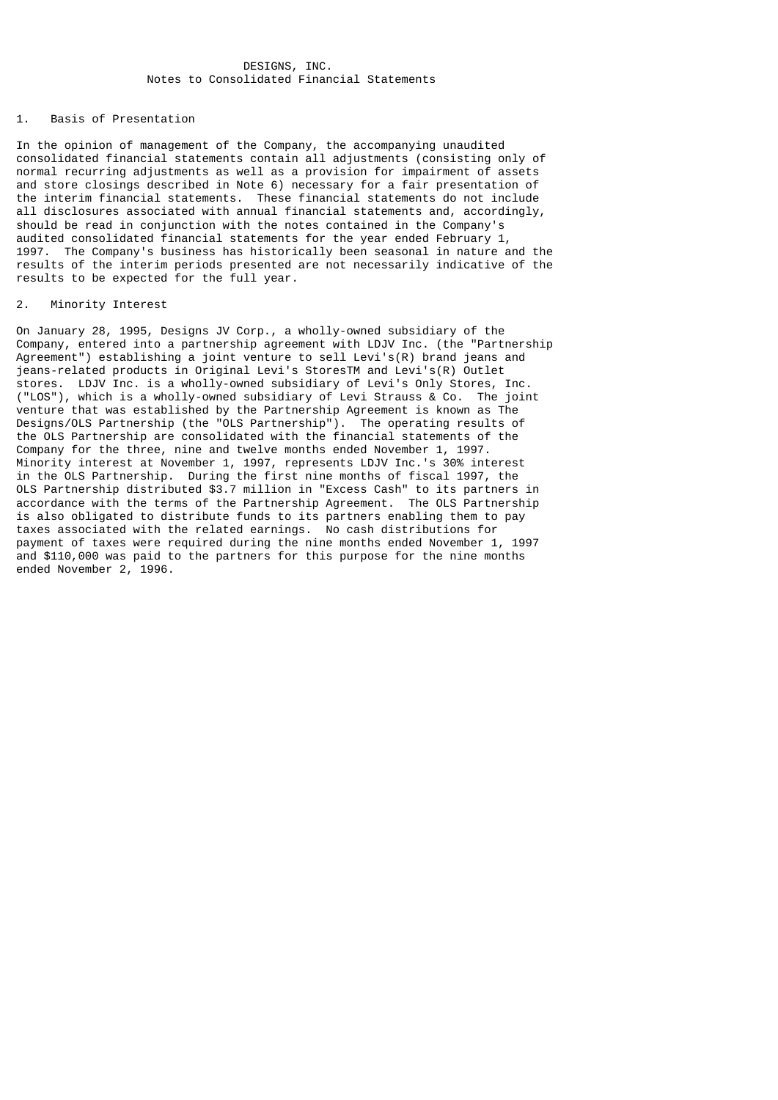# DESIGNS, INC. Notes to Consolidated Financial Statements

## 1. Basis of Presentation

In the opinion of management of the Company, the accompanying unaudited consolidated financial statements contain all adjustments (consisting only of normal recurring adjustments as well as a provision for impairment of assets and store closings described in Note 6) necessary for a fair presentation of the interim financial statements. These financial statements do not include all disclosures associated with annual financial statements and, accordingly, should be read in conjunction with the notes contained in the Company's audited consolidated financial statements for the year ended February 1, 1997. The Company's business has historically been seasonal in nature and the results of the interim periods presented are not necessarily indicative of the results to be expected for the full year.

## 2. Minority Interest

On January 28, 1995, Designs JV Corp., a wholly-owned subsidiary of the Company, entered into a partnership agreement with LDJV Inc. (the "Partnership Agreement") establishing a joint venture to sell Levi's(R) brand jeans and jeans-related products in Original Levi's StoresTM and Levi's(R) Outlet stores. LDJV Inc. is a wholly-owned subsidiary of Levi's Only Stores, Inc. ("LOS"), which is a wholly-owned subsidiary of Levi Strauss & Co. The joint venture that was established by the Partnership Agreement is known as The Designs/OLS Partnership (the "OLS Partnership"). The operating results of the OLS Partnership are consolidated with the financial statements of the Company for the three, nine and twelve months ended November 1, 1997. Minority interest at November 1, 1997, represents LDJV Inc.'s 30% interest in the OLS Partnership. During the first nine months of fiscal 1997, the OLS Partnership distributed \$3.7 million in "Excess Cash" to its partners in accordance with the terms of the Partnership Agreement. The OLS Partnership is also obligated to distribute funds to its partners enabling them to pay taxes associated with the related earnings. No cash distributions for payment of taxes were required during the nine months ended November 1, 1997 and \$110,000 was paid to the partners for this purpose for the nine months ended November 2, 1996.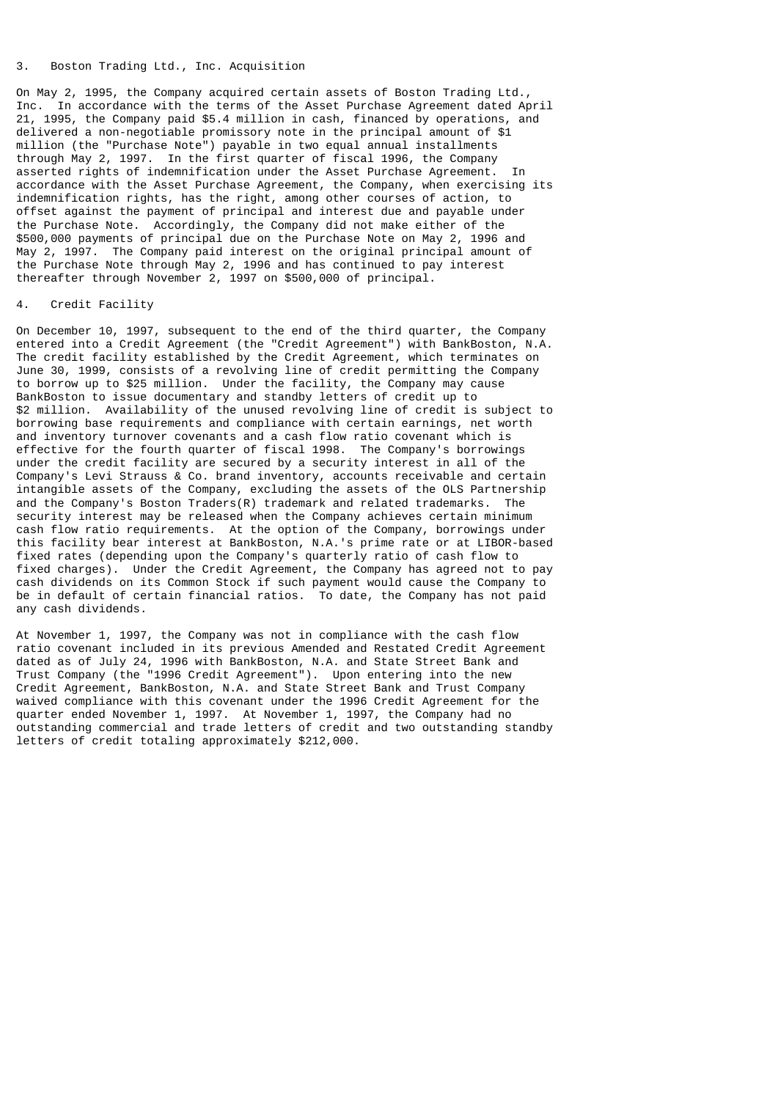# 3. Boston Trading Ltd., Inc. Acquisition

On May 2, 1995, the Company acquired certain assets of Boston Trading Ltd., Inc. In accordance with the terms of the Asset Purchase Agreement dated April 21, 1995, the Company paid \$5.4 million in cash, financed by operations, and delivered a non-negotiable promissory note in the principal amount of \$1 million (the "Purchase Note") payable in two equal annual installments through May 2, 1997. In the first quarter of fiscal 1996, the Company asserted rights of indemnification under the Asset Purchase Agreement. accordance with the Asset Purchase Agreement, the Company, when exercising its indemnification rights, has the right, among other courses of action, to offset against the payment of principal and interest due and payable under the Purchase Note. Accordingly, the Company did not make either of the \$500,000 payments of principal due on the Purchase Note on May 2, 1996 and May 2, 1997. The Company paid interest on the original principal amount of the Purchase Note through May 2, 1996 and has continued to pay interest thereafter through November 2, 1997 on \$500,000 of principal.

# 4. Credit Facility

On December 10, 1997, subsequent to the end of the third quarter, the Company entered into a Credit Agreement (the "Credit Agreement") with BankBoston, N.A. The credit facility established by the Credit Agreement, which terminates on June 30, 1999, consists of a revolving line of credit permitting the Company to borrow up to \$25 million. Under the facility, the Company may cause BankBoston to issue documentary and standby letters of credit up to \$2 million. Availability of the unused revolving line of credit is subject to borrowing base requirements and compliance with certain earnings, net worth and inventory turnover covenants and a cash flow ratio covenant which is effective for the fourth quarter of fiscal 1998. The Company's borrowings under the credit facility are secured by a security interest in all of the Company's Levi Strauss & Co. brand inventory, accounts receivable and certain intangible assets of the Company, excluding the assets of the OLS Partnership and the Company's Boston Traders(R) trademark and related trademarks. The security interest may be released when the Company achieves certain minimum cash flow ratio requirements. At the option of the Company, borrowings under this facility bear interest at BankBoston, N.A.'s prime rate or at LIBOR-based fixed rates (depending upon the Company's quarterly ratio of cash flow to fixed charges). Under the Credit Agreement, the Company has agreed not to pay cash dividends on its Common Stock if such payment would cause the Company to be in default of certain financial ratios. To date, the Company has not paid any cash dividends.

At November 1, 1997, the Company was not in compliance with the cash flow ratio covenant included in its previous Amended and Restated Credit Agreement dated as of July 24, 1996 with BankBoston, N.A. and State Street Bank and Trust Company (the "1996 Credit Agreement"). Upon entering into the new Credit Agreement, BankBoston, N.A. and State Street Bank and Trust Company waived compliance with this covenant under the 1996 Credit Agreement for the quarter ended November 1, 1997. At November 1, 1997, the Company had no outstanding commercial and trade letters of credit and two outstanding standby letters of credit totaling approximately \$212,000.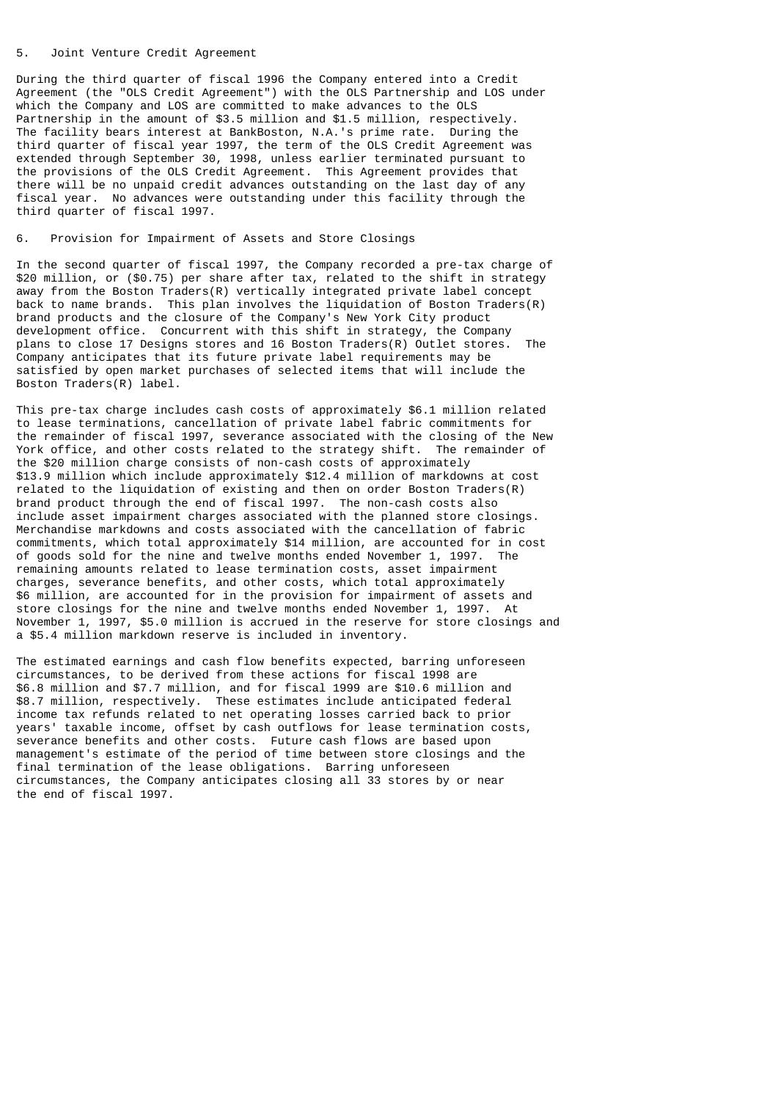## 5. Joint Venture Credit Agreement

During the third quarter of fiscal 1996 the Company entered into a Credit Agreement (the "OLS Credit Agreement") with the OLS Partnership and LOS under which the Company and LOS are committed to make advances to the OLS Partnership in the amount of \$3.5 million and \$1.5 million, respectively. The facility bears interest at BankBoston, N.A.'s prime rate. During the third quarter of fiscal year 1997, the term of the OLS Credit Agreement was extended through September 30, 1998, unless earlier terminated pursuant to the provisions of the OLS Credit Agreement. This Agreement provides that there will be no unpaid credit advances outstanding on the last day of any fiscal year. No advances were outstanding under this facility through the third quarter of fiscal 1997.

# 6. Provision for Impairment of Assets and Store Closings

In the second quarter of fiscal 1997, the Company recorded a pre-tax charge of \$20 million, or (\$0.75) per share after tax, related to the shift in strategy away from the Boston Traders(R) vertically integrated private label concept back to name brands. This plan involves the liquidation of Boston Traders(R) brand products and the closure of the Company's New York City product development office. Concurrent with this shift in strategy, the Company plans to close 17 Designs stores and 16 Boston Traders(R) Outlet stores. The Company anticipates that its future private label requirements may be satisfied by open market purchases of selected items that will include the Boston Traders(R) label.

This pre-tax charge includes cash costs of approximately \$6.1 million related to lease terminations, cancellation of private label fabric commitments for the remainder of fiscal 1997, severance associated with the closing of the New York office, and other costs related to the strategy shift. The remainder of the \$20 million charge consists of non-cash costs of approximately \$13.9 million which include approximately \$12.4 million of markdowns at cost related to the liquidation of existing and then on order Boston Traders(R) brand product through the end of fiscal 1997. The non-cash costs also include asset impairment charges associated with the planned store closings. Merchandise markdowns and costs associated with the cancellation of fabric commitments, which total approximately \$14 million, are accounted for in cost of goods sold for the nine and twelve months ended November 1, 1997. The remaining amounts related to lease termination costs, asset impairment charges, severance benefits, and other costs, which total approximately \$6 million, are accounted for in the provision for impairment of assets and store closings for the nine and twelve months ended November 1, 1997. At November 1, 1997, \$5.0 million is accrued in the reserve for store closings and a \$5.4 million markdown reserve is included in inventory.

The estimated earnings and cash flow benefits expected, barring unforeseen circumstances, to be derived from these actions for fiscal 1998 are \$6.8 million and \$7.7 million, and for fiscal 1999 are \$10.6 million and \$8.7 million, respectively. These estimates include anticipated federal income tax refunds related to net operating losses carried back to prior years' taxable income, offset by cash outflows for lease termination costs, severance benefits and other costs. Future cash flows are based upon management's estimate of the period of time between store closings and the final termination of the lease obligations. Barring unforeseen circumstances, the Company anticipates closing all 33 stores by or near the end of fiscal 1997.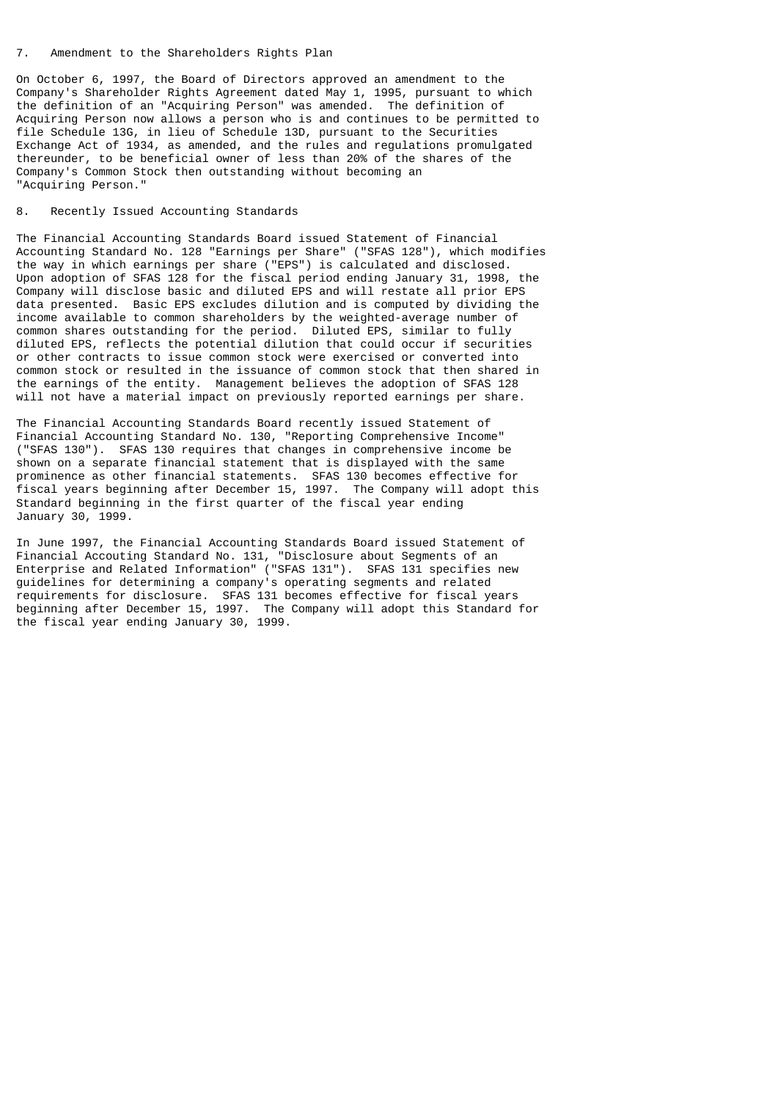## 7. Amendment to the Shareholders Rights Plan

On October 6, 1997, the Board of Directors approved an amendment to the Company's Shareholder Rights Agreement dated May 1, 1995, pursuant to which the definition of an "Acquiring Person" was amended. The definition of Acquiring Person now allows a person who is and continues to be permitted to file Schedule 13G, in lieu of Schedule 13D, pursuant to the Securities Exchange Act of 1934, as amended, and the rules and regulations promulgated thereunder, to be beneficial owner of less than 20% of the shares of the Company's Common Stock then outstanding without becoming an "Acquiring Person."

## 8. Recently Issued Accounting Standards

The Financial Accounting Standards Board issued Statement of Financial Accounting Standard No. 128 "Earnings per Share" ("SFAS 128"), which modifies the way in which earnings per share ("EPS") is calculated and disclosed. Upon adoption of SFAS 128 for the fiscal period ending January 31, 1998, the Company will disclose basic and diluted EPS and will restate all prior EPS data presented. Basic EPS excludes dilution and is computed by dividing the income available to common shareholders by the weighted-average number of common shares outstanding for the period. Diluted EPS, similar to fully diluted EPS, reflects the potential dilution that could occur if securities or other contracts to issue common stock were exercised or converted into common stock or resulted in the issuance of common stock that then shared in the earnings of the entity. Management believes the adoption of SFAS 128 will not have a material impact on previously reported earnings per share.

The Financial Accounting Standards Board recently issued Statement of Financial Accounting Standard No. 130, "Reporting Comprehensive Income" ("SFAS 130"). SFAS 130 requires that changes in comprehensive income be shown on a separate financial statement that is displayed with the same prominence as other financial statements. SFAS 130 becomes effective for fiscal years beginning after December 15, 1997. The Company will adopt this Standard beginning in the first quarter of the fiscal year ending January 30, 1999.

In June 1997, the Financial Accounting Standards Board issued Statement of Financial Accouting Standard No. 131, "Disclosure about Segments of an Enterprise and Related Information" ("SFAS 131"). SFAS 131 specifies new guidelines for determining a company's operating segments and related requirements for disclosure. SFAS 131 becomes effective for fiscal years beginning after December 15, 1997. The Company will adopt this Standard for the fiscal year ending January 30, 1999.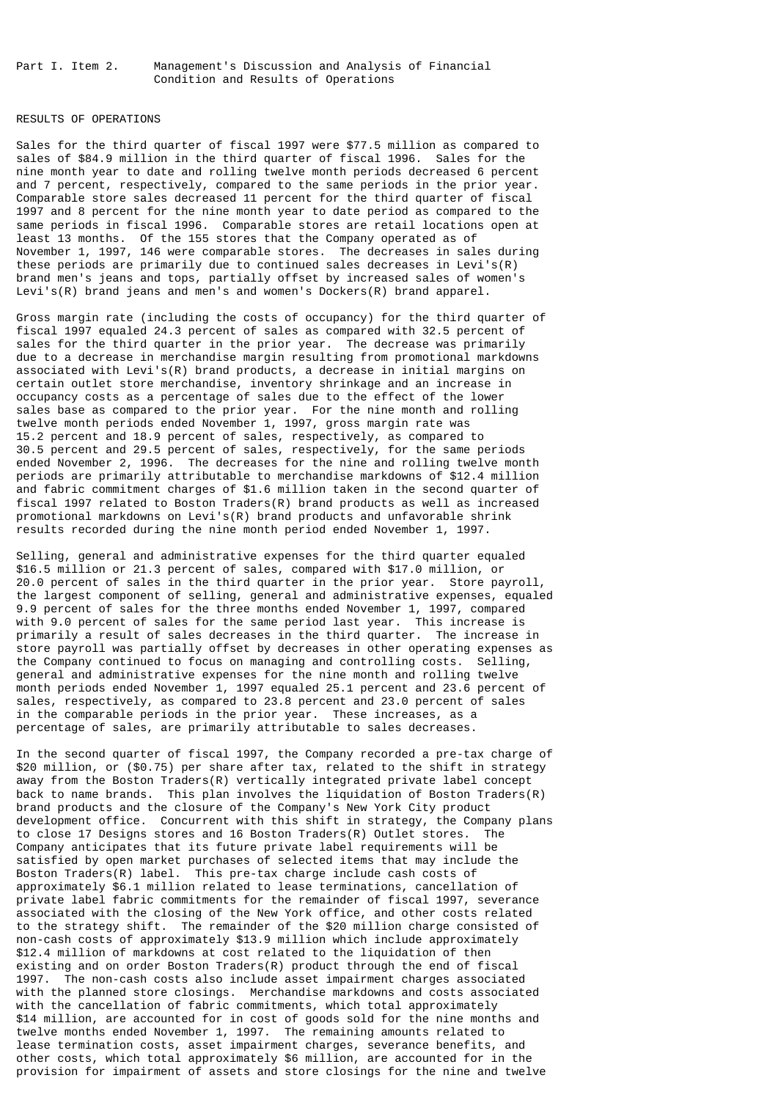## RESULTS OF OPERATIONS

Sales for the third quarter of fiscal 1997 were \$77.5 million as compared to sales of \$84.9 million in the third quarter of fiscal 1996. Sales for the nine month year to date and rolling twelve month periods decreased 6 percent and 7 percent, respectively, compared to the same periods in the prior year. Comparable store sales decreased 11 percent for the third quarter of fiscal 1997 and 8 percent for the nine month year to date period as compared to the same periods in fiscal 1996. Comparable stores are retail locations open at least 13 months. Of the 155 stores that the Company operated as of November 1, 1997, 146 were comparable stores. The decreases in sales during these periods are primarily due to continued sales decreases in Levi's(R) brand men's jeans and tops, partially offset by increased sales of women's Levi's(R) brand jeans and men's and women's Dockers(R) brand apparel.

Gross margin rate (including the costs of occupancy) for the third quarter of fiscal 1997 equaled 24.3 percent of sales as compared with 32.5 percent of sales for the third quarter in the prior year. The decrease was primarily due to a decrease in merchandise margin resulting from promotional markdowns associated with Levi's(R) brand products, a decrease in initial margins on certain outlet store merchandise, inventory shrinkage and an increase in occupancy costs as a percentage of sales due to the effect of the lower sales base as compared to the prior year. For the nine month and rolling twelve month periods ended November 1, 1997, gross margin rate was 15.2 percent and 18.9 percent of sales, respectively, as compared to 30.5 percent and 29.5 percent of sales, respectively, for the same periods ended November 2, 1996. The decreases for the nine and rolling twelve month periods are primarily attributable to merchandise markdowns of \$12.4 million and fabric commitment charges of \$1.6 million taken in the second quarter of fiscal 1997 related to Boston Traders(R) brand products as well as increased promotional markdowns on Levi's(R) brand products and unfavorable shrink results recorded during the nine month period ended November 1, 1997.

Selling, general and administrative expenses for the third quarter equaled \$16.5 million or 21.3 percent of sales, compared with \$17.0 million, or 20.0 percent of sales in the third quarter in the prior year. Store payroll, the largest component of selling, general and administrative expenses, equaled 9.9 percent of sales for the three months ended November 1, 1997, compared with 9.0 percent of sales for the same period last year. This increase is primarily a result of sales decreases in the third quarter. The increase in store payroll was partially offset by decreases in other operating expenses as the Company continued to focus on managing and controlling costs. Selling, general and administrative expenses for the nine month and rolling twelve month periods ended November 1, 1997 equaled 25.1 percent and 23.6 percent of sales, respectively, as compared to 23.8 percent and 23.0 percent of sales in the comparable periods in the prior year. These increases, as a percentage of sales, are primarily attributable to sales decreases.

In the second quarter of fiscal 1997, the Company recorded a pre-tax charge of \$20 million, or (\$0.75) per share after tax, related to the shift in strategy away from the Boston Traders(R) vertically integrated private label concept back to name brands. This plan involves the liquidation of Boston Traders(R) brand products and the closure of the Company's New York City product development office. Concurrent with this shift in strategy, the Company plans to close 17 Designs stores and 16 Boston Traders(R) Outlet stores. The Company anticipates that its future private label requirements will be satisfied by open market purchases of selected items that may include the Boston Traders(R) label. This pre-tax charge include cash costs of approximately \$6.1 million related to lease terminations, cancellation of private label fabric commitments for the remainder of fiscal 1997, severance associated with the closing of the New York office, and other costs related to the strategy shift. The remainder of the \$20 million charge consisted of non-cash costs of approximately \$13.9 million which include approximately \$12.4 million of markdowns at cost related to the liquidation of then existing and on order Boston Traders(R) product through the end of fiscal 1997. The non-cash costs also include asset impairment charges associated with the planned store closings. Merchandise markdowns and costs associated with the cancellation of fabric commitments, which total approximately \$14 million, are accounted for in cost of goods sold for the nine months and twelve months ended November 1, 1997. The remaining amounts related to lease termination costs, asset impairment charges, severance benefits, and other costs, which total approximately \$6 million, are accounted for in the provision for impairment of assets and store closings for the nine and twelve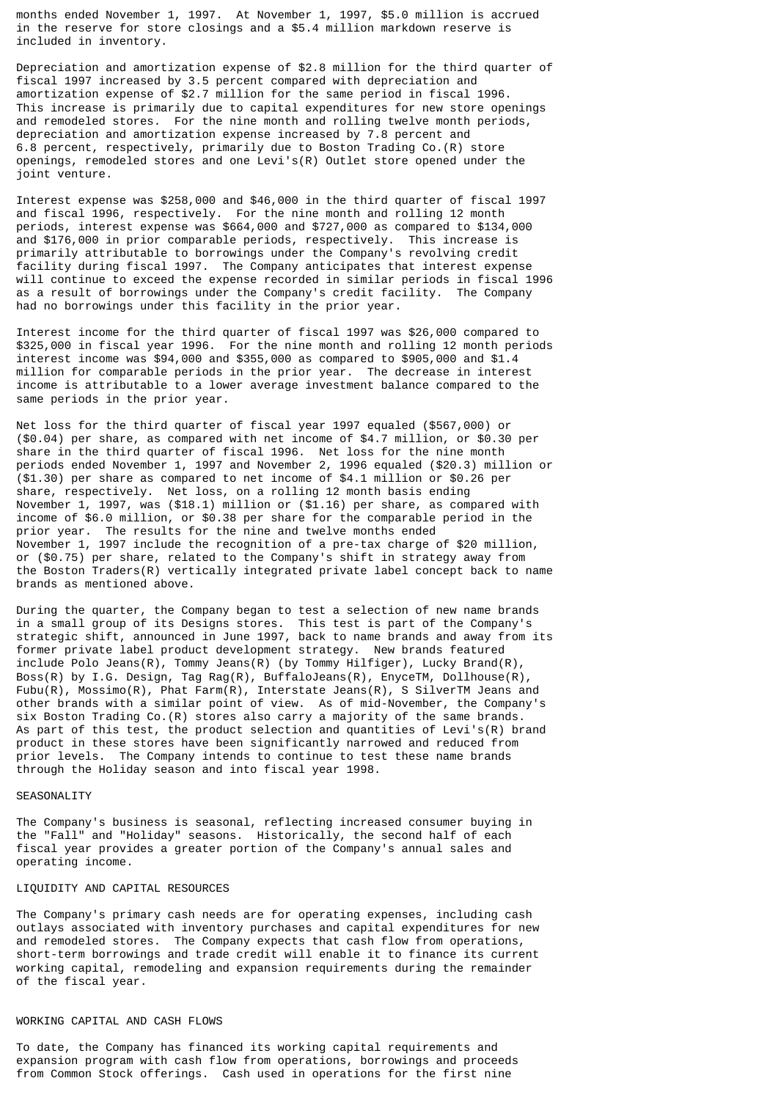months ended November 1, 1997. At November 1, 1997, \$5.0 million is accrued in the reserve for store closings and a \$5.4 million markdown reserve is included in inventory.

Depreciation and amortization expense of \$2.8 million for the third quarter of fiscal 1997 increased by 3.5 percent compared with depreciation and amortization expense of \$2.7 million for the same period in fiscal 1996. This increase is primarily due to capital expenditures for new store openings and remodeled stores. For the nine month and rolling twelve month periods, depreciation and amortization expense increased by 7.8 percent and 6.8 percent, respectively, primarily due to Boston Trading Co.(R) store openings, remodeled stores and one Levi's(R) Outlet store opened under the joint venture.

Interest expense was \$258,000 and \$46,000 in the third quarter of fiscal 1997 and fiscal 1996, respectively. For the nine month and rolling 12 month periods, interest expense was \$664,000 and \$727,000 as compared to \$134,000 and \$176,000 in prior comparable periods, respectively. This increase is primarily attributable to borrowings under the Company's revolving credit facility during fiscal 1997. The Company anticipates that interest expense will continue to exceed the expense recorded in similar periods in fiscal 1996 as a result of borrowings under the Company's credit facility. The Company had no borrowings under this facility in the prior year.

Interest income for the third quarter of fiscal 1997 was \$26,000 compared to \$325,000 in fiscal year 1996. For the nine month and rolling 12 month periods interest income was \$94,000 and \$355,000 as compared to \$905,000 and \$1.4 million for comparable periods in the prior year. The decrease in interest income is attributable to a lower average investment balance compared to the same periods in the prior year.

Net loss for the third quarter of fiscal year 1997 equaled (\$567,000) or (\$0.04) per share, as compared with net income of \$4.7 million, or \$0.30 per share in the third quarter of fiscal 1996. Net loss for the nine month periods ended November 1, 1997 and November 2, 1996 equaled (\$20.3) million or (\$1.30) per share as compared to net income of \$4.1 million or \$0.26 per share, respectively. Net loss, on a rolling 12 month basis ending November 1, 1997, was (\$18.1) million or (\$1.16) per share, as compared with income of \$6.0 million, or \$0.38 per share for the comparable period in the prior year. The results for the nine and twelve months ended November 1, 1997 include the recognition of a pre-tax charge of \$20 million, or (\$0.75) per share, related to the Company's shift in strategy away from the Boston Traders(R) vertically integrated private label concept back to name brands as mentioned above.

During the quarter, the Company began to test a selection of new name brands in a small group of its Designs stores. This test is part of the Company's strategic shift, announced in June 1997, back to name brands and away from its former private label product development strategy. New brands featured include Polo Jeans(R), Tommy Jeans(R) (by Tommy Hilfiger), Lucky Brand(R), Boss(R) by I.G. Design, Tag Rag(R), BuffaloJeans(R), EnyceTM, Dollhouse(R), Fubu(R), Mossimo(R), Phat Farm(R), Interstate Jeans(R), S SilverTM Jeans and other brands with a similar point of view. As of mid-November, the Company's six Boston Trading Co.(R) stores also carry a majority of the same brands. As part of this test, the product selection and quantities of Levi's(R) brand product in these stores have been significantly narrowed and reduced from prior levels. The Company intends to continue to test these name brands through the Holiday season and into fiscal year 1998.

#### SEASONALITY

The Company's business is seasonal, reflecting increased consumer buying in the "Fall" and "Holiday" seasons. Historically, the second half of each fiscal year provides a greater portion of the Company's annual sales and operating income.

#### LIQUIDITY AND CAPITAL RESOURCES

The Company's primary cash needs are for operating expenses, including cash outlays associated with inventory purchases and capital expenditures for new and remodeled stores. The Company expects that cash flow from operations, short-term borrowings and trade credit will enable it to finance its current working capital, remodeling and expansion requirements during the remainder of the fiscal year.

## WORKING CAPITAL AND CASH FLOWS

To date, the Company has financed its working capital requirements and expansion program with cash flow from operations, borrowings and proceeds from Common Stock offerings. Cash used in operations for the first nine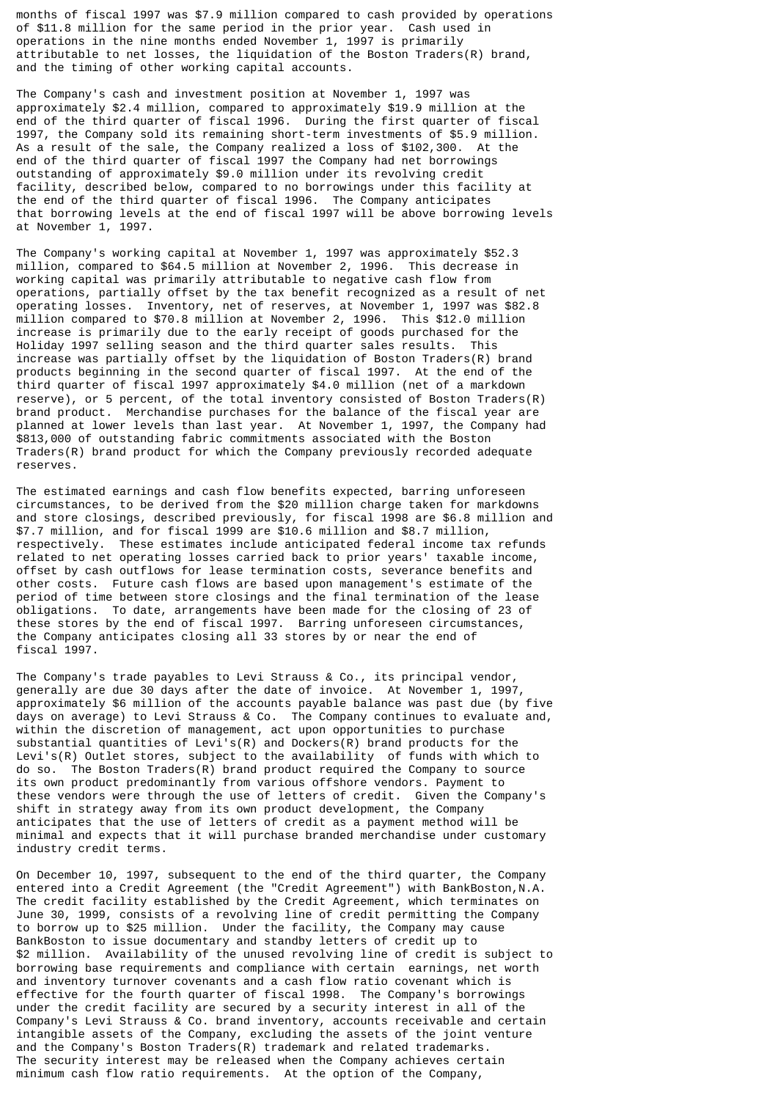months of fiscal 1997 was \$7.9 million compared to cash provided by operations of \$11.8 million for the same period in the prior year. Cash used in operations in the nine months ended November 1, 1997 is primarily attributable to net losses, the liquidation of the Boston Traders(R) brand, and the timing of other working capital accounts.

The Company's cash and investment position at November 1, 1997 was approximately \$2.4 million, compared to approximately \$19.9 million at the end of the third quarter of fiscal 1996. During the first quarter of fiscal 1997, the Company sold its remaining short-term investments of \$5.9 million. As a result of the sale, the Company realized a loss of \$102,300. At the end of the third quarter of fiscal 1997 the Company had net borrowings outstanding of approximately \$9.0 million under its revolving credit facility, described below, compared to no borrowings under this facility at the end of the third quarter of fiscal 1996. The Company anticipates that borrowing levels at the end of fiscal 1997 will be above borrowing levels at November 1, 1997.

The Company's working capital at November 1, 1997 was approximately \$52.3 million, compared to \$64.5 million at November 2, 1996. This decrease in working capital was primarily attributable to negative cash flow from operations, partially offset by the tax benefit recognized as a result of net operating losses. Inventory, net of reserves, at November 1, 1997 was \$82.8 million compared to \$70.8 million at November 2, 1996. This \$12.0 million increase is primarily due to the early receipt of goods purchased for the Holiday 1997 selling season and the third quarter sales results. This increase was partially offset by the liquidation of Boston Traders(R) brand products beginning in the second quarter of fiscal 1997. At the end of the third quarter of fiscal 1997 approximately \$4.0 million (net of a markdown reserve), or 5 percent, of the total inventory consisted of Boston Traders(R) brand product. Merchandise purchases for the balance of the fiscal year are planned at lower levels than last year. At November 1, 1997, the Company had \$813,000 of outstanding fabric commitments associated with the Boston Traders(R) brand product for which the Company previously recorded adequate reserves.

The estimated earnings and cash flow benefits expected, barring unforeseen circumstances, to be derived from the \$20 million charge taken for markdowns and store closings, described previously, for fiscal 1998 are \$6.8 million and \$7.7 million, and for fiscal 1999 are \$10.6 million and \$8.7 million, respectively. These estimates include anticipated federal income tax refunds related to net operating losses carried back to prior years' taxable income, offset by cash outflows for lease termination costs, severance benefits and other costs. Future cash flows are based upon management's estimate of the period of time between store closings and the final termination of the lease obligations. To date, arrangements have been made for the closing of 23 of these stores by the end of fiscal 1997. Barring unforeseen circumstances, the Company anticipates closing all 33 stores by or near the end of fiscal 1997.

The Company's trade payables to Levi Strauss & Co., its principal vendor, generally are due 30 days after the date of invoice. At November 1, 1997, approximately \$6 million of the accounts payable balance was past due (by five days on average) to Levi Strauss & Co. The Company continues to evaluate and, within the discretion of management, act upon opportunities to purchase substantial quantities of Levi's(R) and Dockers(R) brand products for the Levi's(R) Outlet stores, subject to the availability of funds with which to do so. The Boston Traders(R) brand product required the Company to source its own product predominantly from various offshore vendors. Payment to these vendors were through the use of letters of credit. Given the Company's shift in strategy away from its own product development, the Company anticipates that the use of letters of credit as a payment method will be minimal and expects that it will purchase branded merchandise under customary industry credit terms.

On December 10, 1997, subsequent to the end of the third quarter, the Company entered into a Credit Agreement (the "Credit Agreement") with BankBoston, N.A. The credit facility established by the Credit Agreement, which terminates on June 30, 1999, consists of a revolving line of credit permitting the Company to borrow up to \$25 million. Under the facility, the Company may cause BankBoston to issue documentary and standby letters of credit up to \$2 million. Availability of the unused revolving line of credit is subject to borrowing base requirements and compliance with certain earnings, net worth and inventory turnover covenants and a cash flow ratio covenant which is effective for the fourth quarter of fiscal 1998. The Company's borrowings under the credit facility are secured by a security interest in all of the Company's Levi Strauss & Co. brand inventory, accounts receivable and certain intangible assets of the Company, excluding the assets of the joint venture and the Company's Boston Traders(R) trademark and related trademarks. The security interest may be released when the Company achieves certain minimum cash flow ratio requirements. At the option of the Company,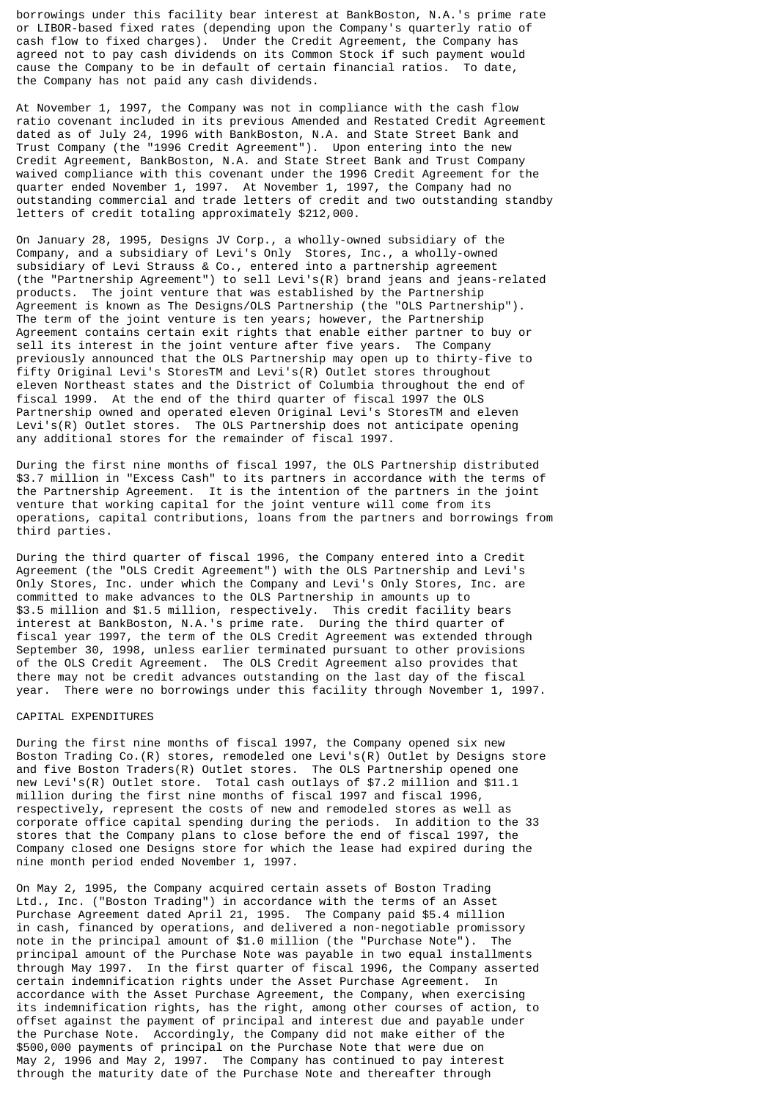borrowings under this facility bear interest at BankBoston, N.A.'s prime rate or LIBOR-based fixed rates (depending upon the Company's quarterly ratio of cash flow to fixed charges). Under the Credit Agreement, the Company has agreed not to pay cash dividends on its Common Stock if such payment would cause the Company to be in default of certain financial ratios. To date, the Company has not paid any cash dividends.

At November 1, 1997, the Company was not in compliance with the cash flow ratio covenant included in its previous Amended and Restated Credit Agreement dated as of July 24, 1996 with BankBoston, N.A. and State Street Bank and Trust Company (the "1996 Credit Agreement"). Upon entering into the new Credit Agreement, BankBoston, N.A. and State Street Bank and Trust Company waived compliance with this covenant under the 1996 Credit Agreement for the quarter ended November 1, 1997. At November 1, 1997, the Company had no outstanding commercial and trade letters of credit and two outstanding standby letters of credit totaling approximately \$212,000.

On January 28, 1995, Designs JV Corp., a wholly-owned subsidiary of the Company, and a subsidiary of Levi's Only Stores, Inc., a wholly-owned subsidiary of Levi Strauss & Co., entered into a partnership agreement (the "Partnership Agreement") to sell Levi's(R) brand jeans and jeans-related The joint venture that was established by the Partnership Agreement is known as The Designs/OLS Partnership (the "OLS Partnership"). The term of the joint venture is ten years; however, the Partnership Agreement contains certain exit rights that enable either partner to buy or sell its interest in the joint venture after five years. The Company previously announced that the OLS Partnership may open up to thirty-five to fifty Original Levi's StoresTM and Levi's(R) Outlet stores throughout eleven Northeast states and the District of Columbia throughout the end of fiscal 1999. At the end of the third quarter of fiscal 1997 the OLS Partnership owned and operated eleven Original Levi's StoresTM and eleven Levi's(R) Outlet stores. The OLS Partnership does not anticipate opening any additional stores for the remainder of fiscal 1997.

During the first nine months of fiscal 1997, the OLS Partnership distributed \$3.7 million in "Excess Cash" to its partners in accordance with the terms of the Partnership Agreement. It is the intention of the partners in the joint venture that working capital for the joint venture will come from its operations, capital contributions, loans from the partners and borrowings from third parties.

During the third quarter of fiscal 1996, the Company entered into a Credit Agreement (the "OLS Credit Agreement") with the OLS Partnership and Levi's Only Stores, Inc. under which the Company and Levi's Only Stores, Inc. are committed to make advances to the OLS Partnership in amounts up to \$3.5 million and \$1.5 million, respectively. This credit facility bears interest at BankBoston, N.A.'s prime rate. During the third quarter of fiscal year 1997, the term of the OLS Credit Agreement was extended through September 30, 1998, unless earlier terminated pursuant to other provisions of the OLS Credit Agreement. The OLS Credit Agreement also provides that there may not be credit advances outstanding on the last day of the fiscal year. There were no borrowings under this facility through November 1, 1997.

# CAPITAL EXPENDITURES

During the first nine months of fiscal 1997, the Company opened six new Boston Trading Co.(R) stores, remodeled one Levi's(R) Outlet by Designs store and five Boston Traders(R) Outlet stores. The OLS Partnership opened one new Levi's(R) Outlet store. Total cash outlays of \$7.2 million and \$11.1 million during the first nine months of fiscal 1997 and fiscal 1996, respectively, represent the costs of new and remodeled stores as well as corporate office capital spending during the periods. In addition to the 33 stores that the Company plans to close before the end of fiscal 1997, the Company closed one Designs store for which the lease had expired during the nine month period ended November 1, 1997.

On May 2, 1995, the Company acquired certain assets of Boston Trading Ltd., Inc. ("Boston Trading") in accordance with the terms of an Asset Purchase Agreement dated April 21, 1995. The Company paid \$5.4 million in cash, financed by operations, and delivered a non-negotiable promissory note in the principal amount of \$1.0 million (the "Purchase Note"). The principal amount of the Purchase Note was payable in two equal installments through May 1997. In the first quarter of fiscal 1996, the Company asserted certain indemnification rights under the Asset Purchase Agreement. In accordance with the Asset Purchase Agreement, the Company, when exercising its indemnification rights, has the right, among other courses of action, to offset against the payment of principal and interest due and payable under the Purchase Note. Accordingly, the Company did not make either of the \$500,000 payments of principal on the Purchase Note that were due on May 2, 1996 and May 2, 1997. The Company has continued to pay interest through the maturity date of the Purchase Note and thereafter through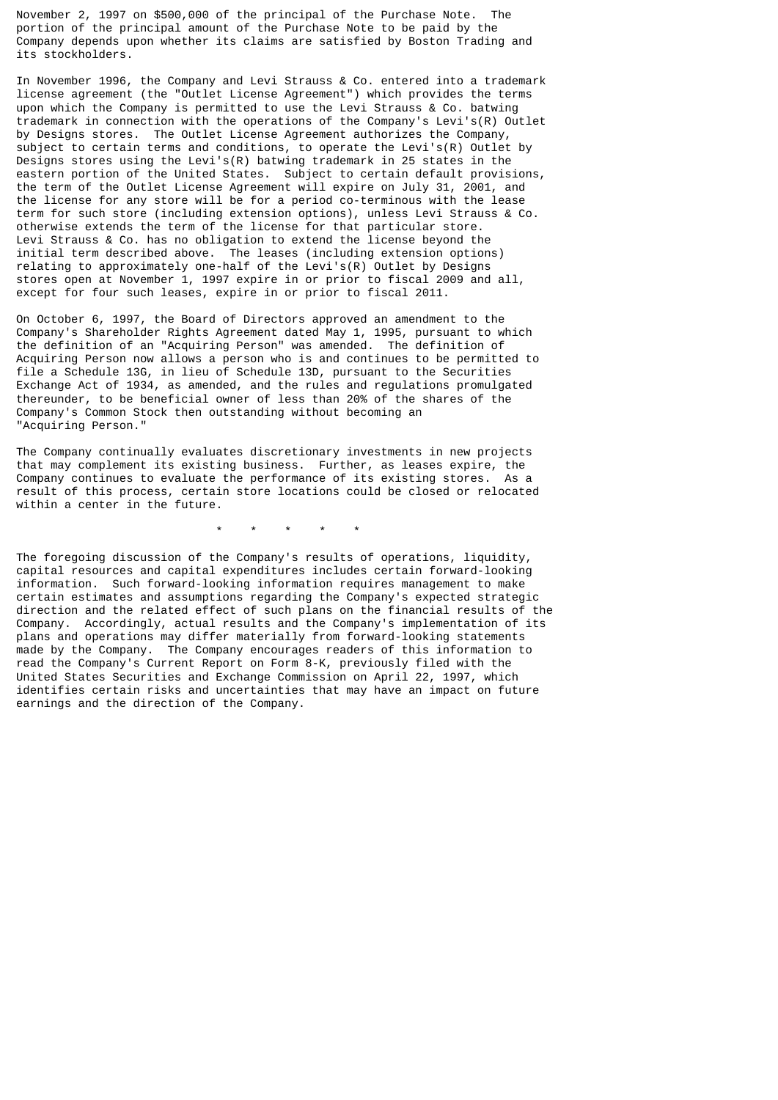November 2, 1997 on \$500,000 of the principal of the Purchase Note. The portion of the principal amount of the Purchase Note to be paid by the Company depends upon whether its claims are satisfied by Boston Trading and its stockholders.

In November 1996, the Company and Levi Strauss & Co. entered into a trademark license agreement (the "Outlet License Agreement") which provides the terms upon which the Company is permitted to use the Levi Strauss & Co. batwing trademark in connection with the operations of the Company's Levi's(R) Outlet by Designs stores. The Outlet License Agreement authorizes the Company, subject to certain terms and conditions, to operate the Levi's(R) Outlet by Designs stores using the Levi's(R) batwing trademark in 25 states in the eastern portion of the United States. Subject to certain default provisions, the term of the Outlet License Agreement will expire on July 31, 2001, and the license for any store will be for a period co-terminous with the lease term for such store (including extension options), unless Levi Strauss & Co. otherwise extends the term of the license for that particular store. Levi Strauss & Co. has no obligation to extend the license beyond the initial term described above. The leases (including extension options) relating to approximately one-half of the Levi's(R) Outlet by Designs stores open at November 1, 1997 expire in or prior to fiscal 2009 and all, except for four such leases, expire in or prior to fiscal 2011.

On October 6, 1997, the Board of Directors approved an amendment to the Company's Shareholder Rights Agreement dated May 1, 1995, pursuant to which the definition of an "Acquiring Person" was amended. The definition of Acquiring Person now allows a person who is and continues to be permitted to file a Schedule 13G, in lieu of Schedule 13D, pursuant to the Securities Exchange Act of 1934, as amended, and the rules and regulations promulgated thereunder, to be beneficial owner of less than 20% of the shares of the Company's Common Stock then outstanding without becoming an "Acquiring Person."

The Company continually evaluates discretionary investments in new projects that may complement its existing business. Further, as leases expire, the Company continues to evaluate the performance of its existing stores. As a result of this process, certain store locations could be closed or relocated within a center in the future.

\* \* \* \* \*

The foregoing discussion of the Company's results of operations, liquidity, capital resources and capital expenditures includes certain forward-looking information. Such forward-looking information requires management to make certain estimates and assumptions regarding the Company's expected strategic direction and the related effect of such plans on the financial results of the Company. Accordingly, actual results and the Company's implementation of its plans and operations may differ materially from forward-looking statements made by the Company. The Company encourages readers of this information to read the Company's Current Report on Form 8-K, previously filed with the United States Securities and Exchange Commission on April 22, 1997, which identifies certain risks and uncertainties that may have an impact on future earnings and the direction of the Company.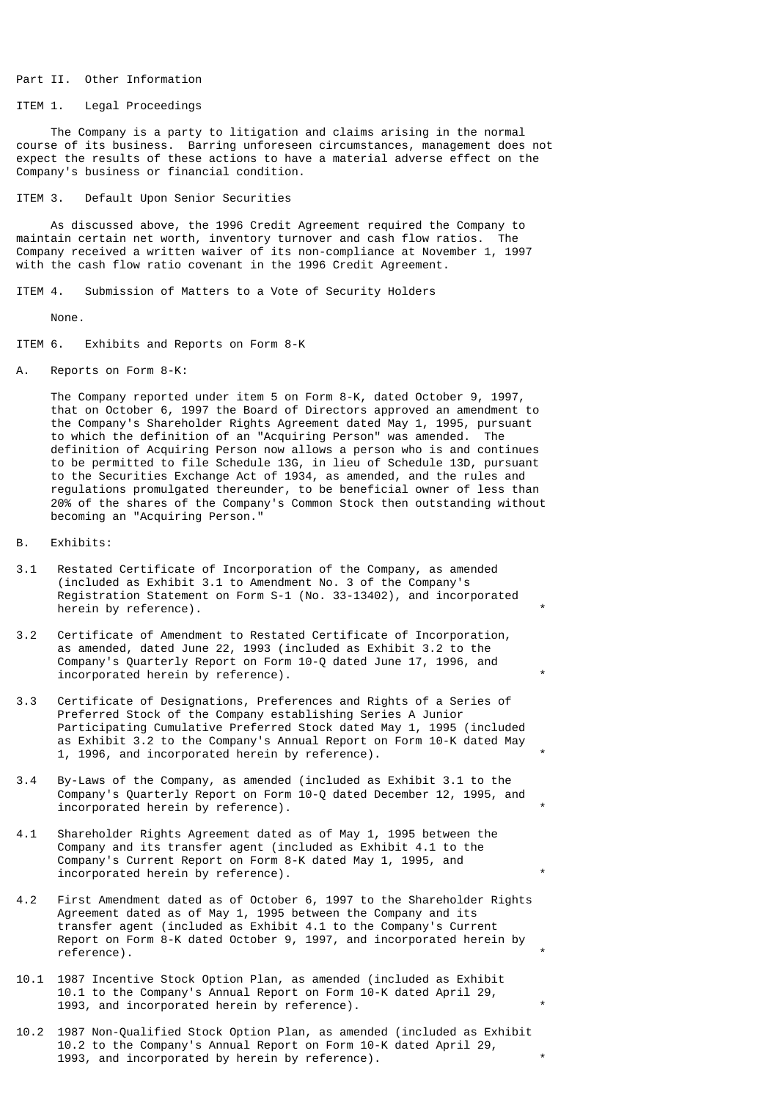#### Part II. Other Information

## ITEM 1. Legal Proceedings

 The Company is a party to litigation and claims arising in the normal course of its business. Barring unforeseen circumstances, management does not expect the results of these actions to have a material adverse effect on the Company's business or financial condition.

ITEM 3. Default Upon Senior Securities

 As discussed above, the 1996 Credit Agreement required the Company to maintain certain net worth, inventory turnover and cash flow ratios. The Company received a written waiver of its non-compliance at November 1, 1997 with the cash flow ratio covenant in the 1996 Credit Agreement.

ITEM 4. Submission of Matters to a Vote of Security Holders

None.

ITEM 6. Exhibits and Reports on Form 8-K

A. Reports on Form 8-K:

 The Company reported under item 5 on Form 8-K, dated October 9, 1997, that on October 6, 1997 the Board of Directors approved an amendment to the Company's Shareholder Rights Agreement dated May 1, 1995, pursuant to which the definition of an "Acquiring Person" was amended. The definition of Acquiring Person now allows a person who is and continues to be permitted to file Schedule 13G, in lieu of Schedule 13D, pursuant to the Securities Exchange Act of 1934, as amended, and the rules and regulations promulgated thereunder, to be beneficial owner of less than 20% of the shares of the Company's Common Stock then outstanding without becoming an "Acquiring Person."

- B. Exhibits:
- 3.1 Restated Certificate of Incorporation of the Company, as amended (included as Exhibit 3.1 to Amendment No. 3 of the Company's Registration Statement on Form S-1 (No. 33-13402), and incorporated herein by reference).
- 3.2 Certificate of Amendment to Restated Certificate of Incorporation, as amended, dated June 22, 1993 (included as Exhibit 3.2 to the Company's Quarterly Report on Form 10-Q dated June 17, 1996, and incorporated herein by reference).
- 3.3 Certificate of Designations, Preferences and Rights of a Series of Preferred Stock of the Company establishing Series A Junior Participating Cumulative Preferred Stock dated May 1, 1995 (included as Exhibit 3.2 to the Company's Annual Report on Form 10-K dated May 1, 1996, and incorporated herein by reference).
- 3.4 By-Laws of the Company, as amended (included as Exhibit 3.1 to the Company's Quarterly Report on Form 10-Q dated December 12, 1995, and incorporated herein by reference). \*
- 4.1 Shareholder Rights Agreement dated as of May 1, 1995 between the Company and its transfer agent (included as Exhibit 4.1 to the Company's Current Report on Form 8-K dated May 1, 1995, and incorporated herein by reference).
- 4.2 First Amendment dated as of October 6, 1997 to the Shareholder Rights Agreement dated as of May 1, 1995 between the Company and its transfer agent (included as Exhibit 4.1 to the Company's Current Report on Form 8-K dated October 9, 1997, and incorporated herein by reference).
- 10.1 1987 Incentive Stock Option Plan, as amended (included as Exhibit 10.1 to the Company's Annual Report on Form 10-K dated April 29, 1993, and incorporated herein by reference).
- 10.2 1987 Non-Qualified Stock Option Plan, as amended (included as Exhibit 10.2 to the Company's Annual Report on Form 10-K dated April 29, 1993, and incorporated by herein by reference).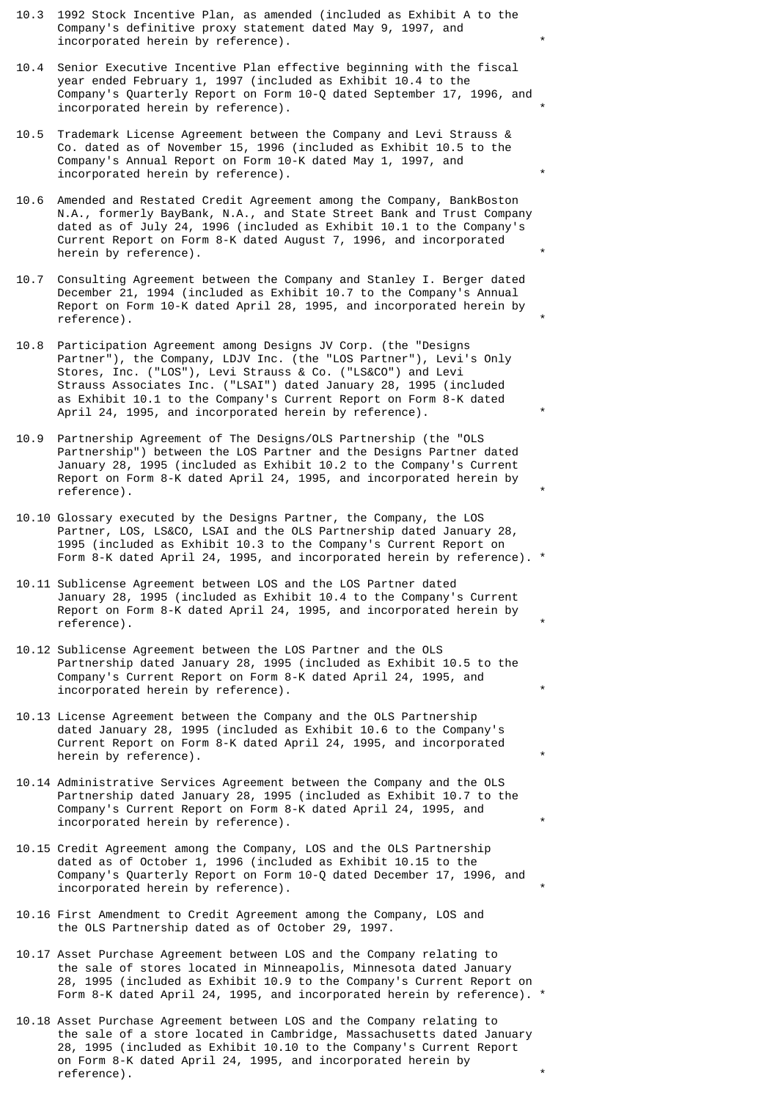- 10.3 1992 Stock Incentive Plan, as amended (included as Exhibit A to the Company's definitive proxy statement dated May 9, 1997, and incorporated herein by reference).
- 10.4 Senior Executive Incentive Plan effective beginning with the fiscal year ended February 1, 1997 (included as Exhibit 10.4 to the Company's Quarterly Report on Form 10-Q dated September 17, 1996, and incorporated herein by reference).
- 10.5 Trademark License Agreement between the Company and Levi Strauss & Co. dated as of November 15, 1996 (included as Exhibit 10.5 to the Company's Annual Report on Form 10-K dated May 1, 1997, and incorporated herein by reference).
- 10.6 Amended and Restated Credit Agreement among the Company, BankBoston N.A., formerly BayBank, N.A., and State Street Bank and Trust Company dated as of July 24, 1996 (included as Exhibit 10.1 to the Company's Current Report on Form 8-K dated August 7, 1996, and incorporated herein by reference).
- 10.7 Consulting Agreement between the Company and Stanley I. Berger dated December 21, 1994 (included as Exhibit 10.7 to the Company's Annual Report on Form 10-K dated April 28, 1995, and incorporated herein by reference).
- 10.8 Participation Agreement among Designs JV Corp. (the "Designs Partner"), the Company, LDJV Inc. (the "LOS Partner"), Levi's Only Stores, Inc. ("LOS"), Levi Strauss & Co. ("LS&CO") and Levi Strauss Associates Inc. ("LSAI") dated January 28, 1995 (included as Exhibit 10.1 to the Company's Current Report on Form 8-K dated April 24, 1995, and incorporated herein by reference).
- 10.9 Partnership Agreement of The Designs/OLS Partnership (the "OLS Partnership") between the LOS Partner and the Designs Partner dated January 28, 1995 (included as Exhibit 10.2 to the Company's Current Report on Form 8-K dated April 24, 1995, and incorporated herein by reference).
- 10.10 Glossary executed by the Designs Partner, the Company, the LOS Partner, LOS, LS&CO, LSAI and the OLS Partnership dated January 28, 1995 (included as Exhibit 10.3 to the Company's Current Report on Form 8-K dated April 24, 1995, and incorporated herein by reference). \*
- 10.11 Sublicense Agreement between LOS and the LOS Partner dated January 28, 1995 (included as Exhibit 10.4 to the Company's Current Report on Form 8-K dated April 24, 1995, and incorporated herein by reference).
- 10.12 Sublicense Agreement between the LOS Partner and the OLS Partnership dated January 28, 1995 (included as Exhibit 10.5 to the Company's Current Report on Form 8-K dated April 24, 1995, and incorporated herein by reference).
- 10.13 License Agreement between the Company and the OLS Partnership dated January 28, 1995 (included as Exhibit 10.6 to the Company's Current Report on Form 8-K dated April 24, 1995, and incorporated herein by reference).
- 10.14 Administrative Services Agreement between the Company and the OLS Partnership dated January 28, 1995 (included as Exhibit 10.7 to the Company's Current Report on Form 8-K dated April 24, 1995, and incorporated herein by reference).
- 10.15 Credit Agreement among the Company, LOS and the OLS Partnership dated as of October 1, 1996 (included as Exhibit 10.15 to the Company's Quarterly Report on Form 10-Q dated December 17, 1996, and incorporated herein by reference).
- 10.16 First Amendment to Credit Agreement among the Company, LOS and the OLS Partnership dated as of October 29, 1997.
- 10.17 Asset Purchase Agreement between LOS and the Company relating to the sale of stores located in Minneapolis, Minnesota dated January 28, 1995 (included as Exhibit 10.9 to the Company's Current Report on Form 8-K dated April 24, 1995, and incorporated herein by reference). \*
- 10.18 Asset Purchase Agreement between LOS and the Company relating to the sale of a store located in Cambridge, Massachusetts dated January 28, 1995 (included as Exhibit 10.10 to the Company's Current Report on Form 8-K dated April 24, 1995, and incorporated herein by reference).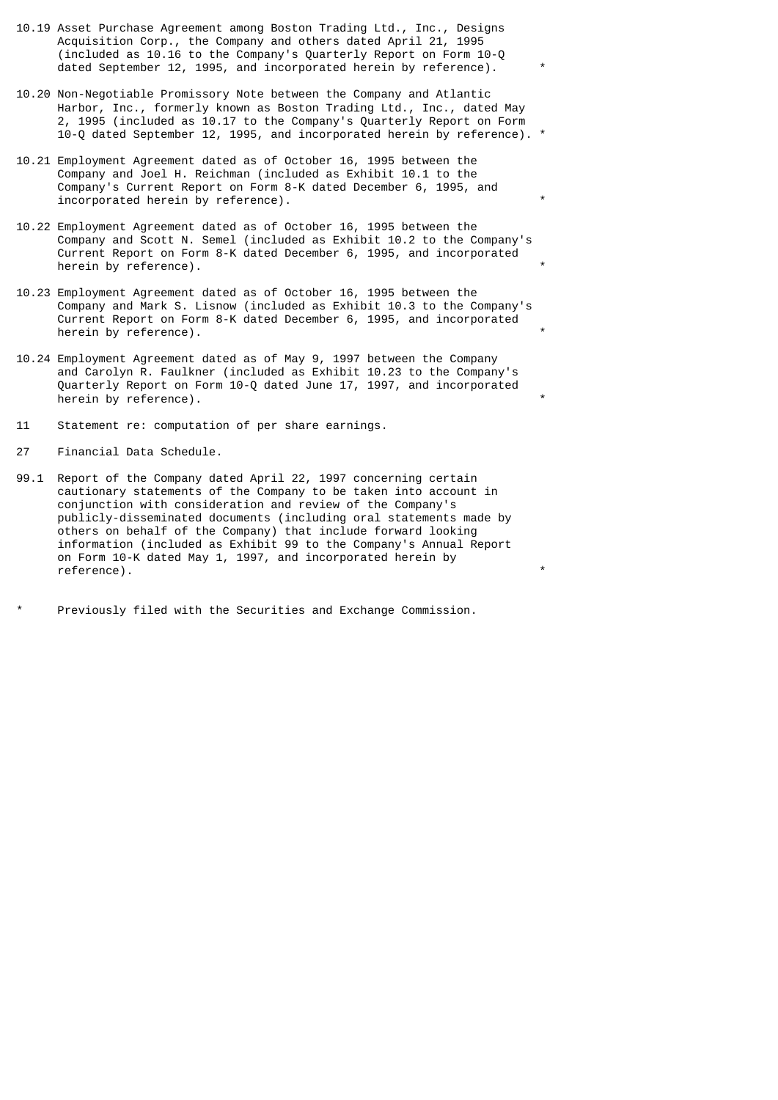- 10.19 Asset Purchase Agreement among Boston Trading Ltd., Inc., Designs Acquisition Corp., the Company and others dated April 21, 1995 (included as 10.16 to the Company's Quarterly Report on Form 10-Q dated September 12, 1995, and incorporated herein by reference).
- 10.20 Non-Negotiable Promissory Note between the Company and Atlantic Harbor, Inc., formerly known as Boston Trading Ltd., Inc., dated May 2, 1995 (included as 10.17 to the Company's Quarterly Report on Form 10-Q dated September 12, 1995, and incorporated herein by reference). \*
- 10.21 Employment Agreement dated as of October 16, 1995 between the Company and Joel H. Reichman (included as Exhibit 10.1 to the Company's Current Report on Form 8-K dated December 6, 1995, and incorporated herein by reference).
- 10.22 Employment Agreement dated as of October 16, 1995 between the Company and Scott N. Semel (included as Exhibit 10.2 to the Company's Current Report on Form 8-K dated December 6, 1995, and incorporated herein by reference).
- 10.23 Employment Agreement dated as of October 16, 1995 between the Company and Mark S. Lisnow (included as Exhibit 10.3 to the Company's Current Report on Form 8-K dated December 6, 1995, and incorporated herein by reference).
- 10.24 Employment Agreement dated as of May 9, 1997 between the Company and Carolyn R. Faulkner (included as Exhibit 10.23 to the Company's Quarterly Report on Form 10-Q dated June 17, 1997, and incorporated herein by reference).
- 11 Statement re: computation of per share earnings.
- 27 Financial Data Schedule.
- 99.1 Report of the Company dated April 22, 1997 concerning certain cautionary statements of the Company to be taken into account in conjunction with consideration and review of the Company's publicly-disseminated documents (including oral statements made by others on behalf of the Company) that include forward looking information (included as Exhibit 99 to the Company's Annual Report on Form 10-K dated May 1, 1997, and incorporated herein by reference).
- Previously filed with the Securities and Exchange Commission.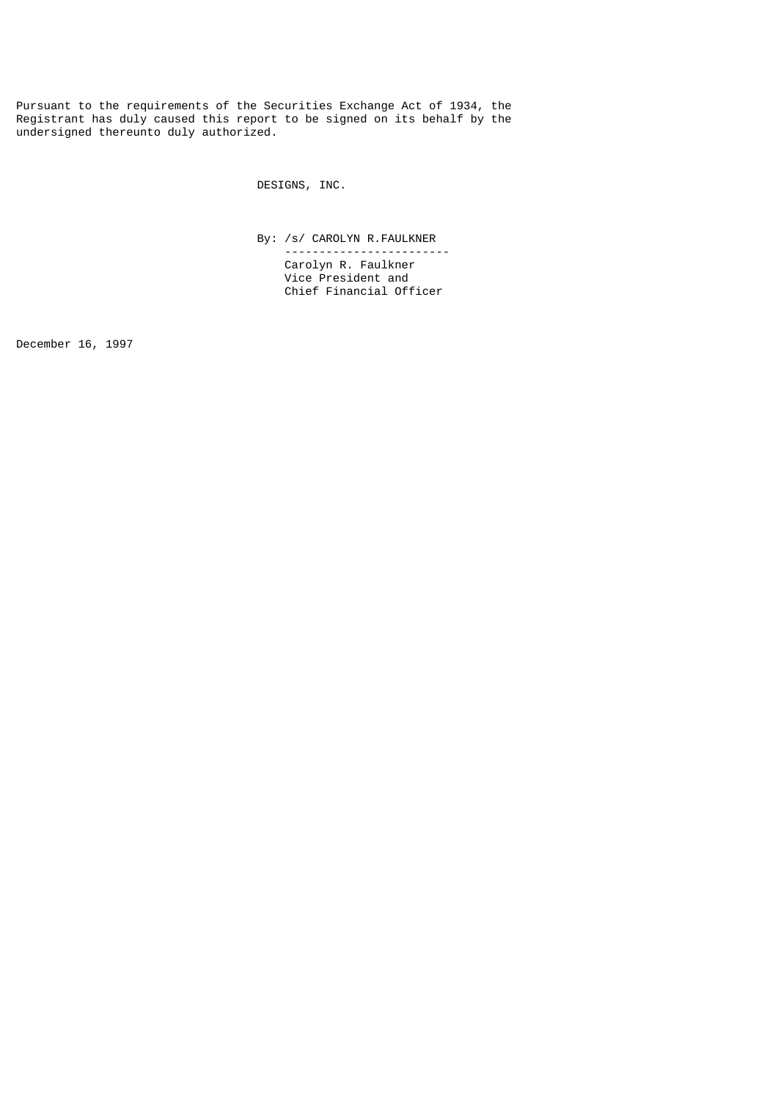Pursuant to the requirements of the Securities Exchange Act of 1934, the Registrant has duly caused this report to be signed on its behalf by the undersigned thereunto duly authorized.

DESIGNS, INC.

 By: /s/ CAROLYN R.FAULKNER ------------------------

 Carolyn R. Faulkner Vice President and Chief Financial Officer

December 16, 1997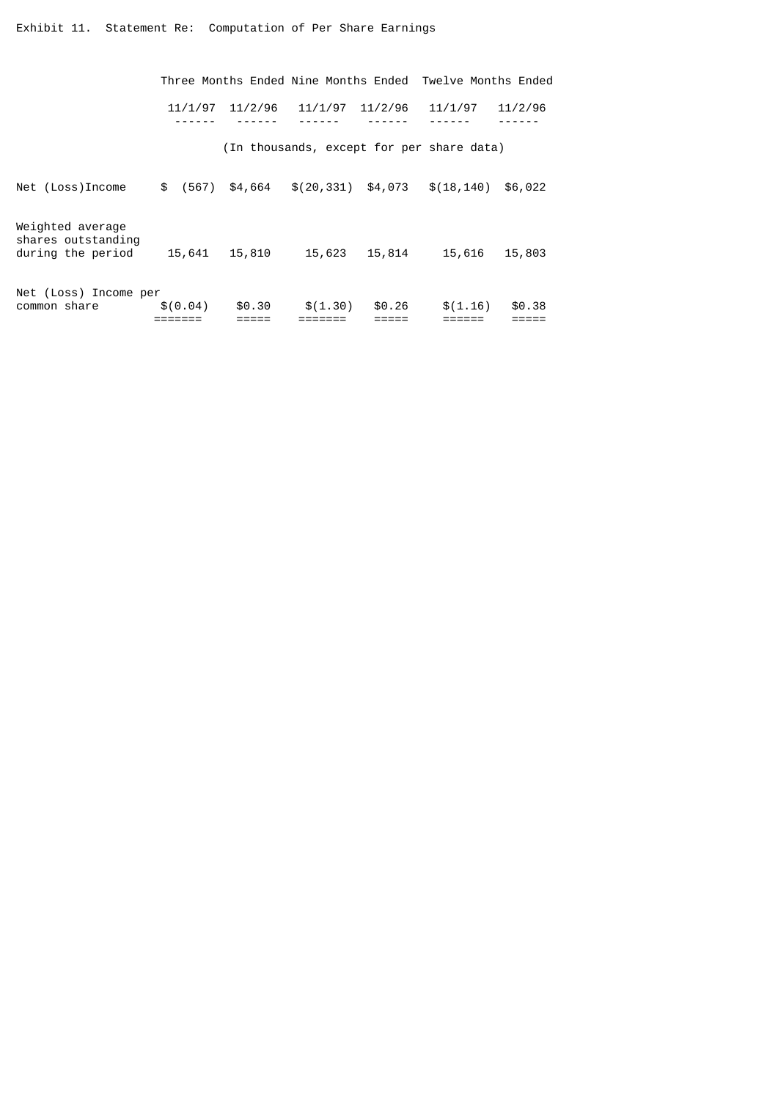|                                                             |             |         |                        |         | Three Months Ended Nine Months Ended Twelve Months Ended |         |
|-------------------------------------------------------------|-------------|---------|------------------------|---------|----------------------------------------------------------|---------|
|                                                             | 11/1/97     | 11/2/96 | 11/1/97                | 11/2/96 | 11/1/97                                                  | 11/2/96 |
|                                                             |             |         |                        |         | (In thousands, except for per share data)                |         |
| Net (Loss)Income                                            | \$<br>(567) | \$4,664 | $$(20, 331)$ $$4, 073$ |         | \$(18, 140)                                              | \$6,022 |
| Weighted average<br>shares outstanding<br>during the period | 15,641      | 15,810  | 15,623                 | 15,814  | 15,616                                                   | 15,803  |
| Net (Loss) Income per<br>common share                       | \$(0.04)    | \$0.30  | \$(1.30)               | \$0.26  | \$(1.16)                                                 | \$0.38  |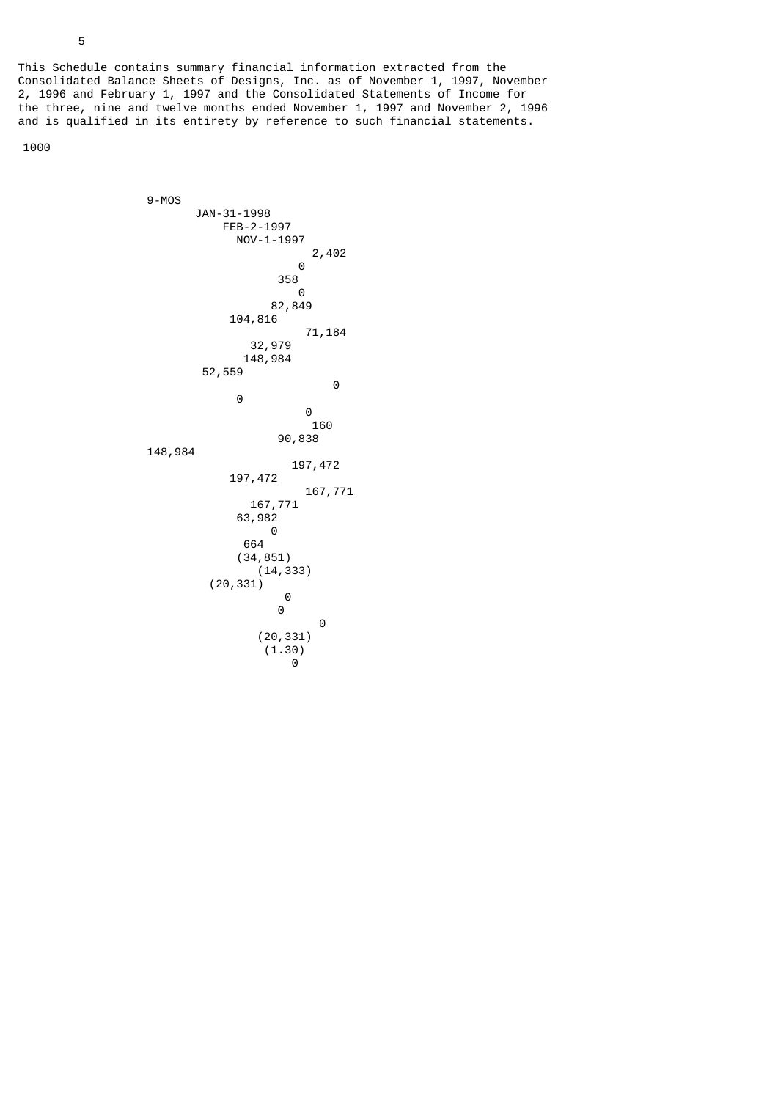This Schedule contains summary financial information extracted from the Consolidated Balance Sheets of Designs, Inc. as of November 1, 1997, November 2, 1996 and February 1, 1997 and the Consolidated Statements of Income for the three, nine and twelve months ended November 1, 1997 and November 2, 1996 and is qualified in its entirety by reference to such financial statements.

1000

 9-MOS JAN-31-1998 FEB-2-1997 NOV-1-1997 2,402 0  $358$  0 82,849 104,816 71,184 32,979 148,984 52,559 0 0 0 160 90,838 148,984 197,472 197,472 167,771 167,771 63,982 0 <u>664 and 2001 and 2004</u> (34,851) (14,333) (20,331) 0 0 0 (20,331)  $(1.30)$ 0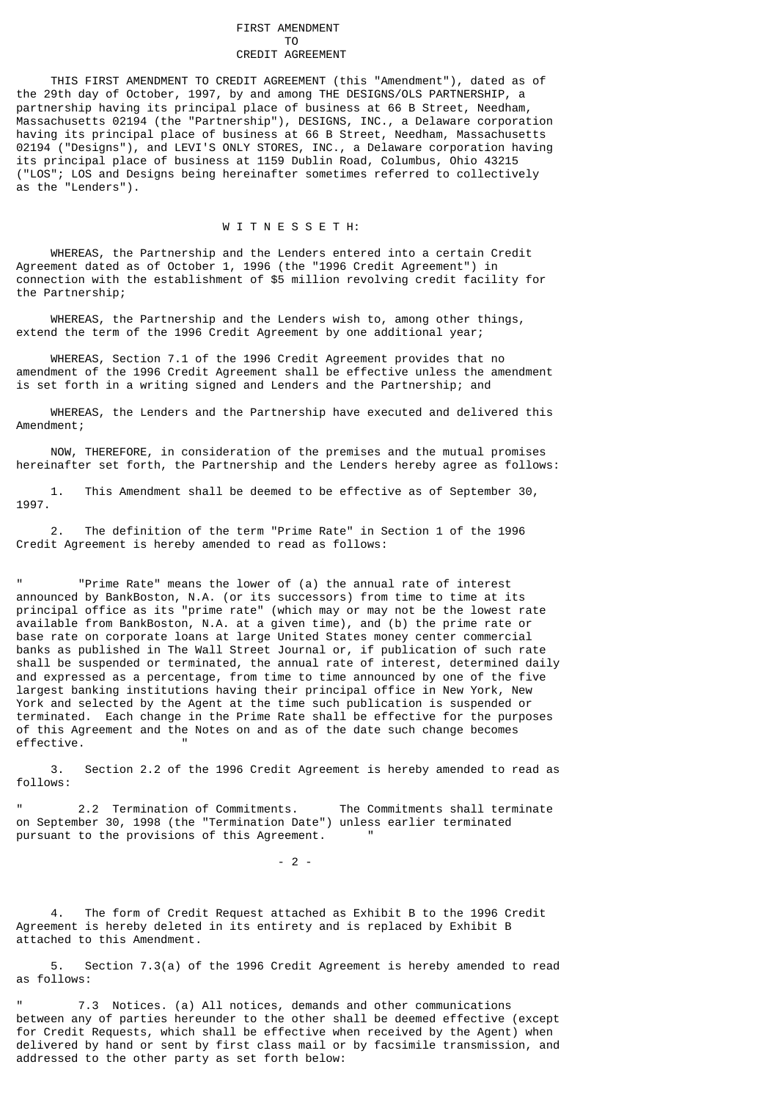#### FIRST AMENDMENT TO CREDIT AGREEMENT

 THIS FIRST AMENDMENT TO CREDIT AGREEMENT (this "Amendment"), dated as of the 29th day of October, 1997, by and among THE DESIGNS/OLS PARTNERSHIP, a partnership having its principal place of business at 66 B Street, Needham, Massachusetts 02194 (the "Partnership"), DESIGNS, INC., a Delaware corporation having its principal place of business at 66 B Street, Needham, Massachusetts 02194 ("Designs"), and LEVI'S ONLY STORES, INC., a Delaware corporation having its principal place of business at 1159 Dublin Road, Columbus, Ohio 43215 ("LOS"; LOS and Designs being hereinafter sometimes referred to collectively as the "Lenders").

# W T T N F S S F T H:

 WHEREAS, the Partnership and the Lenders entered into a certain Credit Agreement dated as of October 1, 1996 (the "1996 Credit Agreement") in connection with the establishment of \$5 million revolving credit facility for the Partnership;

 WHEREAS, the Partnership and the Lenders wish to, among other things, extend the term of the 1996 Credit Agreement by one additional year;

 WHEREAS, Section 7.1 of the 1996 Credit Agreement provides that no amendment of the 1996 Credit Agreement shall be effective unless the amendment is set forth in a writing signed and Lenders and the Partnership; and

 WHEREAS, the Lenders and the Partnership have executed and delivered this Amendment;

 NOW, THEREFORE, in consideration of the premises and the mutual promises hereinafter set forth, the Partnership and the Lenders hereby agree as follows:

 1. This Amendment shall be deemed to be effective as of September 30, 1997.

 2. The definition of the term "Prime Rate" in Section 1 of the 1996 Credit Agreement is hereby amended to read as follows:

" "Prime Rate" means the lower of (a) the annual rate of interest announced by BankBoston, N.A. (or its successors) from time to time at its principal office as its "prime rate" (which may or may not be the lowest rate available from BankBoston, N.A. at a given time), and (b) the prime rate or base rate on corporate loans at large United States money center commercial banks as published in The Wall Street Journal or, if publication of such rate shall be suspended or terminated, the annual rate of interest, determined daily and expressed as a percentage, from time to time announced by one of the five largest banking institutions having their principal office in New York, New York and selected by the Agent at the time such publication is suspended or terminated. Each change in the Prime Rate shall be effective for the purposes of this Agreement and the Notes on and as of the date such change becomes effective.

 3. Section 2.2 of the 1996 Credit Agreement is hereby amended to read as follows:

2.2 Termination of Commitments. The Commitments shall terminate on September 30, 1998 (the "Termination Date") unless earlier terminated pursuant to the provisions of this Agreement.

 $-2$  -

The form of Credit Request attached as Exhibit B to the 1996 Credit Agreement is hereby deleted in its entirety and is replaced by Exhibit B attached to this Amendment.

 5. Section 7.3(a) of the 1996 Credit Agreement is hereby amended to read as follows:

7.3 Notices. (a) All notices, demands and other communications between any of parties hereunder to the other shall be deemed effective (except for Credit Requests, which shall be effective when received by the Agent) when delivered by hand or sent by first class mail or by facsimile transmission, and addressed to the other party as set forth below: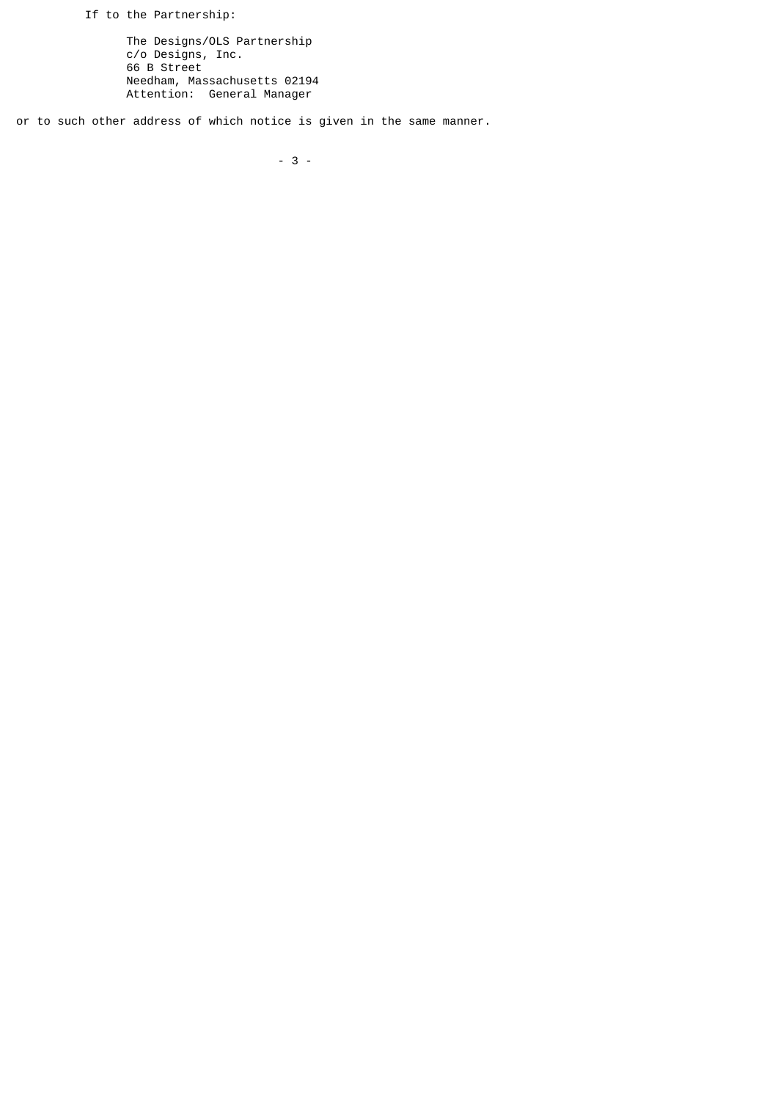If to the Partnership:

 The Designs/OLS Partnership c/o Designs, Inc. 66 B Street Needham, Massachusetts 02194 Attention: General Manager

or to such other address of which notice is given in the same manner.

- 3 -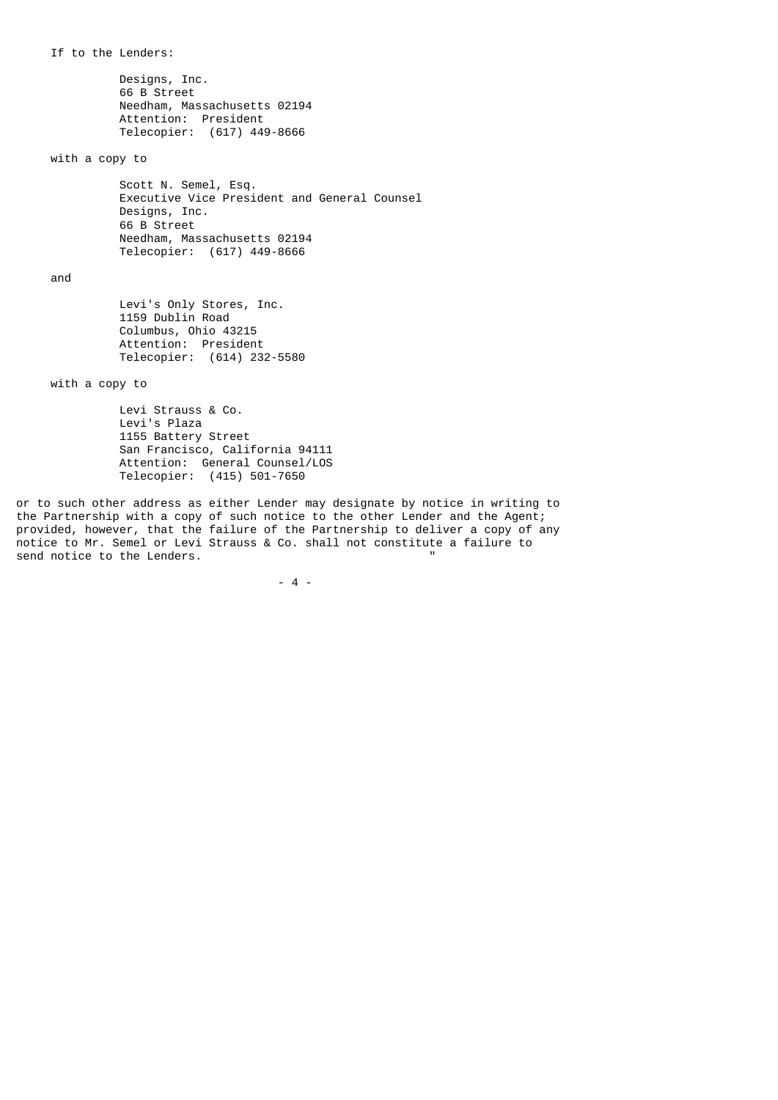If to the Lenders:

 Designs, Inc. 66 B Street Needham, Massachusetts 02194 Attention: President Telecopier: (617) 449-8666

with a copy to

 Scott N. Semel, Esq. Executive Vice President and General Counsel Designs, Inc. 66 B Street Needham, Massachusetts 02194 Telecopier: (617) 449-8666

and

 Levi's Only Stores, Inc. 1159 Dublin Road Columbus, Ohio 43215 Attention: President Telecopier: (614) 232-5580

with a copy to

 Levi Strauss & Co. Levi's Plaza 1155 Battery Street San Francisco, California 94111 Attention: General Counsel/LOS Telecopier: (415) 501-7650

or to such other address as either Lender may designate by notice in writing to the Partnership with a copy of such notice to the other Lender and the Agent; provided, however, that the failure of the Partnership to deliver a copy of any notice to Mr. Semel or Levi Strauss & Co. shall not constitute a failure to send notice to the Lenders.

 $-4$  -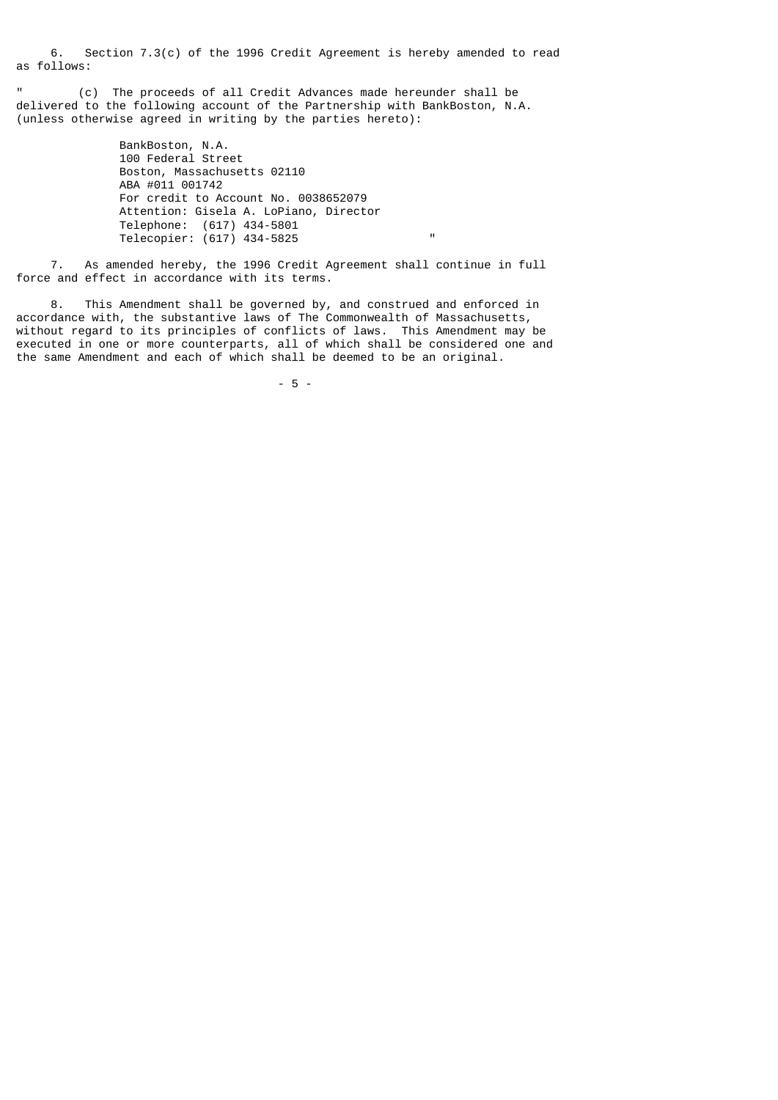6. Section 7.3(c) of the 1996 Credit Agreement is hereby amended to read as follows:

" (c) The proceeds of all Credit Advances made hereunder shall be delivered to the following account of the Partnership with BankBoston, N.A. (unless otherwise agreed in writing by the parties hereto):

 BankBoston, N.A. 100 Federal Street Boston, Massachusetts 02110 ABA #011 001742 For credit to Account No. 0038652079 Attention: Gisela A. LoPiano, Director Telephone: (617) 434-5801 Telecopier: (617) 434-5825 "

 7. As amended hereby, the 1996 Credit Agreement shall continue in full force and effect in accordance with its terms.

 8. This Amendment shall be governed by, and construed and enforced in accordance with, the substantive laws of The Commonwealth of Massachusetts, without regard to its principles of conflicts of laws. This Amendment may be executed in one or more counterparts, all of which shall be considered one and the same Amendment and each of which shall be deemed to be an original.

- 5 -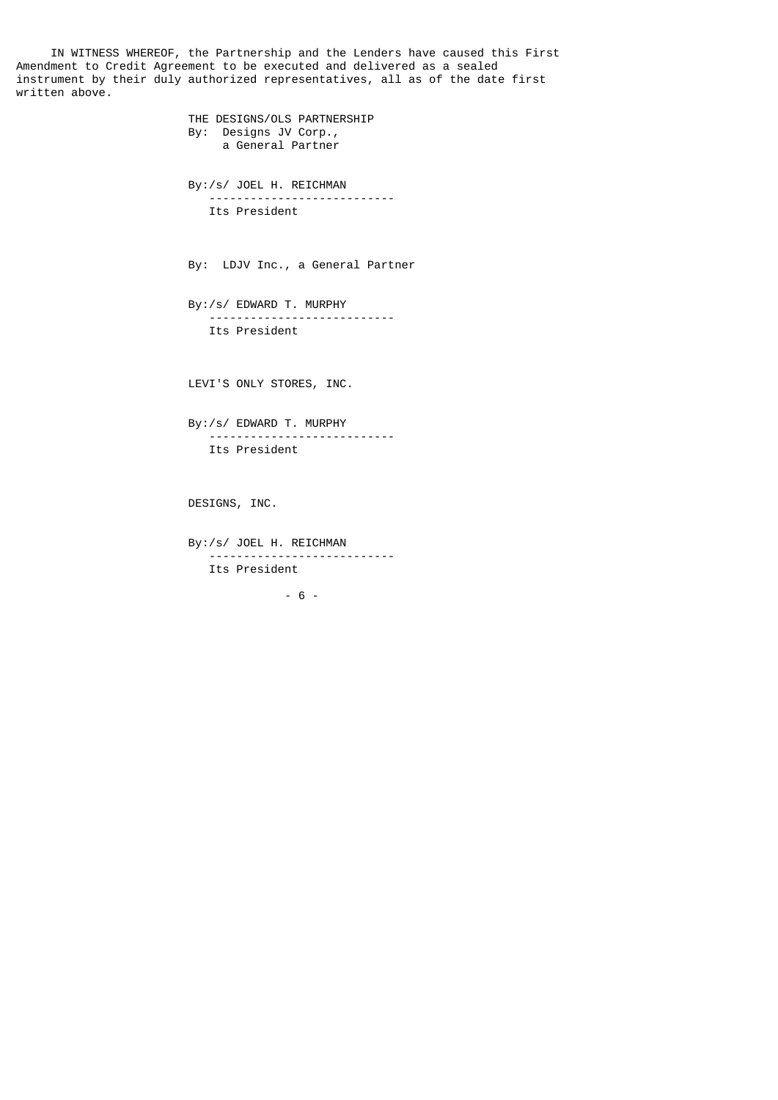IN WITNESS WHEREOF, the Partnership and the Lenders have caused this First Amendment to Credit Agreement to be executed and delivered as a sealed instrument by their duly authorized representatives, all as of the date first written above.

> THE DESIGNS/OLS PARTNERSHIP By: Designs JV Corp., a General Partner By:/s/ JOEL H. REICHMAN --------------------------- Its President By: LDJV Inc., a General Partner By:/s/ EDWARD T. MURPHY --------------------------- Its President LEVI'S ONLY STORES, INC. By:/s/ EDWARD T. MURPHY --------------------------- Its President

DESIGNS, INC.

 By:/s/ JOEL H. REICHMAN --------------------------- Its President

- 6 -